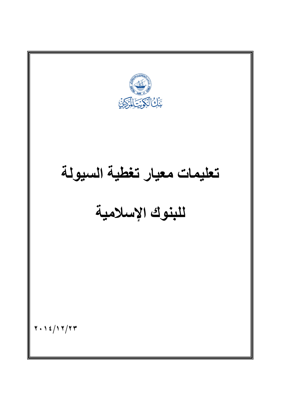تعليمات معيار تغطية السيولة للبنوك اسمية  $Y \cdot Y \leq \int Y Y/Y$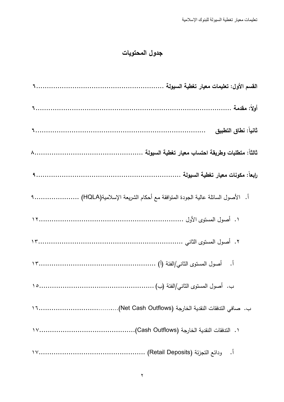## جدول المحتويات

| أ.  الأصول السائلة عالية الجودة المتوافقة مع أحكام الشريعة الإسلامية(HQLA) |
|----------------------------------------------------------------------------|
|                                                                            |
|                                                                            |
|                                                                            |
|                                                                            |
|                                                                            |
|                                                                            |
|                                                                            |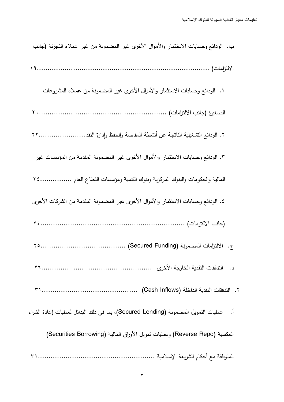| ب. الودائع وحسابات الاستثمار والأموال الأخرى غير المضمونة من غير عملاء التجزئة (جانب      |
|-------------------------------------------------------------------------------------------|
|                                                                                           |
| ١. الودائع وحسابات الاستثمار والأموال الأخرى غير المضمونة من عملاء المشروعات              |
|                                                                                           |
| ٢. الودائع التشغيلية الناتجة عن أنشطة المقاصة والحفظ وإدارة النقد ٢٢                      |
| ٣. الودائع وحسابات الاستثمار والأموال الأخرى غير المضمونة المقدمة من المؤسسات غير         |
| المالية والحكومات والبنوك المركزية وبنوك النتمية ومؤسسات القطاع العام  ٢٤                 |
| ٤. الودائع وحسابات الاستثمار والأموال الأخرى غير المضمونة المقدمة من الشركات الأخرى       |
|                                                                                           |
|                                                                                           |
|                                                                                           |
|                                                                                           |
| أ.     عمليات النمويل المضمونة (Secured Lending)، بما في ذلك البدائل لعمليات إعادة الشراء |
| العكسية (Reverse Repo) وعمليات نمويل الأوراق المالية (Securities Borrowing)               |
|                                                                                           |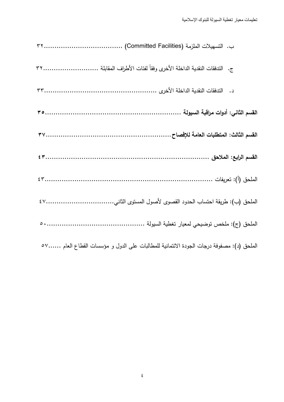| الملحق (د): مصفوفة درجات الجودة الائتمانية للمطالبات على الدول و مؤسسات القطاع العام ٥٧ |
|-----------------------------------------------------------------------------------------|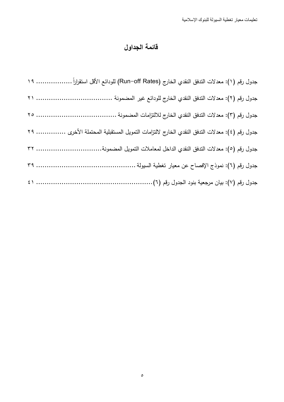# قائمة الجداول

| جدول رقم (١): معدلات الندفق النقدي الخارج (Run–off Rates) للودائع الأقل استقراراً ………………. ١٩ |  |
|----------------------------------------------------------------------------------------------|--|
|                                                                                              |  |
|                                                                                              |  |
| جدول رقم (٤): معدلات الندفق النقدي الخارج لالتزامات النمويل المستقبلية المحتملة الأخرى  ٢٩   |  |
| جدول رقم (٥): معدلات الندفق النقدي الداخل لمعاملات النمويل المضمونة ٣٢                       |  |
|                                                                                              |  |
|                                                                                              |  |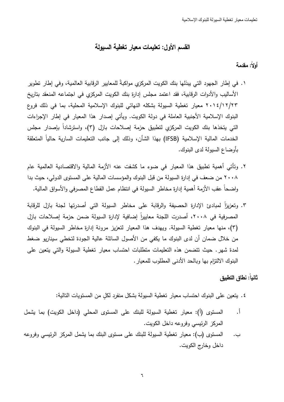## القسم الأول: تطيمات معيار تغطية السبولة

## أولاً: مقدمة

- ١ . في إطار الجهود التي يبذلها بنك الكويت المركزي مواكبةً للمعايير الرقابية العالمية، وفي إطار نطوير الأساليب والأدوات الرقابية، فقد اعتمد مجلس إدارة بنك الكويت المركزي في اجتماعه المنعقد بتاريخ ٢٠١٤/١٢/٢٣ معيار تغطية السيولة بشكله النهائي للبنوك الإسلامية المحلية، بما في ذلك فروع البنوك الإسلامية الأجنبية العاملة في دولة الكويت. ويأتي إصدار هذا المعيار في إطار الإجراءات التي يتخذها بنك الكويت المركزي لتطبيق حزمة إصلاحات بازل (٣)، واسترشاداً بإصدار مجلس الخدمات المالية الإسلامية (IFSB) بهذا الشأن، وذلك إلى جانب التعليمات السارية حالياً المتعلقة بأوضاع السبولة لدى البنوك.
- ٢. وتأتي أهمية تطبيق هذا المعيار في ضوء ما كشفت عنه الأزمة المالية والاقتصادية العالمية عام ٢٠٠٨ من ضعف في إدارة السيولة من قبل البنوك والمؤسسات المالية على المستوى الدولي، حيث بدا واضحاً عقب الأزمة أهمية إدارة مخاطر السيولة في انتظام عمل القطاع المصرفي والأسواق المالية.
- ٣. وتعزيزاً لمبادئ الإدارة الحصبفة والرقابة على مخاطر السبولة التي أصدرتها لجنة بازل للرقابة المصرفية في ٢٠٠٨، أصدرت اللجنة معاييراً إضافية لإدارة السيولة ضمن حزمة إصلاحات بازل (٣)، منها معيار تغطية السيولة. ويهدف هذا المعيار لتعزيز مرونة إدارة مخاطر السيولة في البنوك من خلال ضمان أن لدى البنوك ما يكفي من الأصول السائلة عالية الجودة لتخطى سيناريو ضغط لمدة شهر. حيث نتضمن هذه التعليمات متطلبات احتساب معيار تغطية السيولة والتي يتعين على البنوك الالتزام بها وبالحد الأدنى المطلوب للمعيار .

### ثانياً: نطاق التطبيق

٤. يتعين على البنوك احتساب معبار تغطية السبولة بشكل منفرد لكل من المستويات التالية:

- المستوى (أ): معيار تغطية السيولة للبنك على المستوى المحلي (داخل الكويت) بما يشمل  $\cdot$ المركز الرئيسي وفروعه داخل الكويت.
- المستوى (ب): معيار تغطية السيولة للبنك على مستوى البنك بما يشمل المركز الرئيسي وفروعه ب. داخل وخارج الكويت.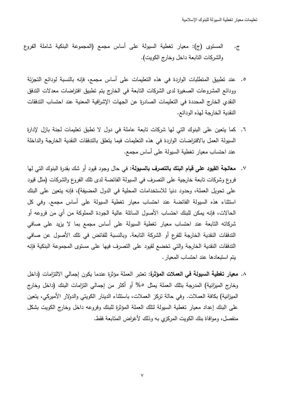- المستوى (ج): معيار تغطية السيولة على أساس مجمع (المجموعة البنكية شاملة الفروع  $\cdot$   $\bar{c}$ والشركات التابعة داخل وخارج الكويت).
	- 0. عند تطبيق المتطلبات الواردة في هذه التعليمات على أساس مجمع، فإنه بالنسبة لودائع التجزئة وودائع المشروعات الصغيرة لدى الشركات التابعة في الخارج يتم تطبيق افتراضات معدلات التدفق النقدى الخارج المحددة في التعليمات الصادرة عن الجهات الإشرافية المعنية عند احتساب التدفقات النقدية الخارجة لهذه الودائع.
	- ٦. كما يتعين على البنوك التي لها شركات تابعة عاملة في دول لا تطبق تعليمات لجنة بازل لإدارة السيولة العمل بالافتراضات الواردة في هذه التعليمات فيما يتعلق بالتدفقات النقدية الخارجة والداخلة عند احتساب معيار تغطية السيولة على أساس مجمع.
	- **معالجة القيود على قيام البنك بالتصرف بالسيولة:** في حال وجود قيود أو شك بقدرة البنوك التي لها  $\cdot$  .  $\vee$ فروع وشركات نابعة خارجية على النصرف في السيولة الفائضة لدى نلك الفروع والشركات (مثل قيود على تحويل العملة، وحدود دنيا للاستخدامات المحلية في الدول المضيفة)، فإنه يتعين على البنك استثناء هذه السيولة الفائضة عند احتساب معيار تغطية السيولة على أساس مجمع. وفي كل الحالات، فإنه يمكن للبنك احتساب الأصول السائلة عالية الجودة المملوكة من أي من فروعه أو شركاته التابعة عند احتساب معيار تغطية السيولة على أساس مجمع بما لا يزيد على صافى الندفقات النقدية الخارجة للفرع أو الشركة التابعة. وبالنسبة للفائض في تلك الأصول عن صافي التدفقات النقدية الخارجة والتي تخضع لقيود على التصرف فيها على مستوى المجموعة البنكية فإنه يتم استبعادها عند احتساب المعيار .
	- ٨. معيار تغطية السيولة في العملات المؤثرة: تعتبر العملة مؤثرة عندما يكون إجمالي الالتزامات (داخل وخارج الميزانية) المدرجة بتلك العملة يمثل ٥% أو أكثر من إجمالي النزامات البنك (داخل وخارج الميزانية) بكافة العملات. وفي حالة تركز العملات، باستثناء الدينار الكويتي والدولار الأميركي، يتعين على البنك إعداد معيار نغطية السيولة لنلك العملة المؤثرة للبنك وفروعه داخل وخارج الكويت بشكل منفصل، وموافاة بنك الكويت المركزي به وذلك لأغراض المتابعة فقط.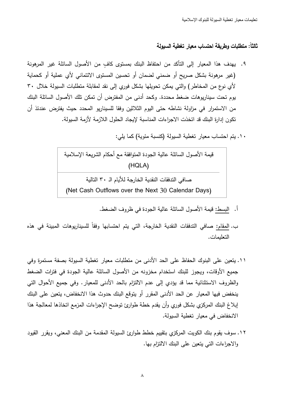## ثالثاً: متطلبات وطريقة احتساب معيار تغطية السيولة

- ٩. يهدف هذا المعيار إلى التأكد من احتفاظ البنك بمستوى كافٍ من الأصول السائلة غير المرهونة (غير مرهونة بشكل صريح أو ضمني لضمان أو تحسين المستوى الائتماني لأي عملية أو كحماية لأي نوع من المخاطر) والتي يمكن تحويلها بشكل فوري إلى نقد لمقابلة متطلبات السيولة خلال ٣٠ يوم تحت سيناريوهات ضغط محددة. وكحد أدنى من المفترض أن تمكن تلك الأصول السائلة البنك من الاستمرار في مزاولة نشاطه حتى اليوم الثلاثين وفقا للسيناريو المحدد حيث يفترض عندئذ أن تكون إدارة البنك قد اتخذت الاجراءات المناسبة لإيجاد الحلول اللازمة لأزمة السيولة.
	- ١٠. يتم احتساب معيار تغطية السيولة (كنسبة مئوية) كما يلي:

قيمة الأصول السائلة عالية الجودة المتوافقة مع أحكام الشريعة الإسلامية ( HQLA) صافي الندفقات النقدية الخارجة للأيام الـ ٣٠ النالية

( Net Cash Outflows over the Next 30 Calendar Days)

- أ. البسط: قيمة الأصول السائلة عالية الجودة في ظروف الضغط.
- ب. <u>المقام:</u> صـافي الندفقات النقدية الخارجة، التي يتم احتسابها وفقاً للسيناريوهات المبينة في هذه التعليمات.
- ١١. يتعين على البنوك الحفاظ على الحد الأدنى من متطلبات معيار تغطية السيولة بصفة مستمرة وفي جميع الأوقات، ويجوز للبنك استخدام مخزونه من الأصول السائلة عالية الجودة في فترات الضغط والظروف الاستثنائية مما قد يؤدي إلى عدم الالتزام بالحد الأدنى للمعيار . وفي جميع الأحوال التي ينخفض فيها المعيار عن الحد الأدنى المقرر أو يتوقع البنك حدوث هذا الانخفاض، يتعين على البنك إبلاغ البنك المركزي بشكل فوري وأن يقدم خطة طوارئ توضح الإجراءات المزمع اتخاذها لمعالجة هذا الانخفاض في معيار تغطية السيولة.
- ١٢. سوف يقوم بنك الكويت المركزي بتقييم خطط طوارئ السيولة المقدمة من البنك المعني، ويقرر القيود والإجراءات التي يتعين على البنك الالتزام بها.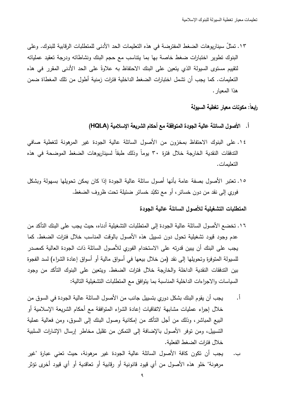١٣. تمثِّلُ سيناريوهات الضغط المفترضة في هذه التعليمات الحد الأدنى للمتطلبات الرقابية للبنوك. وعلى البنوك نطوير اختبارات ضغط خاصة بها بما بنناسب مع حجم البنك ونشاطاته ودرجة نعقيد عملياته لتقييم مستوى السيولة الذي يتعين على البنك الاحتفاظ به علاوةً على الحد الأدنى المقرر في هذه التعليمات. كما يجب أن نشمل اختبارات الضغط الداخلية فترات زمنية أطول من تلك المغطاة ضمن هذا المعيار .

رابعاً: مكونات معيار تغطية السيولة

- أ. الأصول السائلة عالية الجودة المتوافقة مع أحكام الشريعة الإسلامية (HQLA)
- ١٤. على البنوك الاحتفاظ بمخزون من الأصول السائلة عالية الجودة غير المرهونة لتغطية صافي التدفقات النقدية الخارجة خلال فترة ٣٠ يوما وذلك طبقا لسيناريوهات الضغط الموضحة في هذه التعليمات.
- ١٥. نعتبر الأصول بصفة عامة بأنها أصول سائلة عالية الجودة إذا كان يمكن تحويلها بسهولة وبشكل فوري إلى نقد من دون خسائر ، أو مع تكبّد خسائر ضئيلة تحت ظروف الضغط.

المتطلبات التشغيلية للأصول السائلة عالية الجودة

- ١٦. تخضع الأصول السائلة عالية الجودة إلى المتطلبات التشغيلية أدناه، حيث يجب على البنك التأكد من عدم وجود قيود تشغيلية تحول دون تسبيل هذه الأصول بالوقت المناسب خلال فترات الضغط. كما يجب على البنك أن يبين قدرته على الاستخدام الفوري للأصول السائلة ذات الجودة العالية كمصدر للسيولة المتوفرة وتحويلها إلى نقد (من خلال بيعها في أسواق مالية أو أسواق إعادة الشراء) لسد الفجوة بين التدفقات النقدية الداخلة والخارجة خلال فترات الضغط. ويتعين على البنوك التأكد من وجود السياسات والاجراءات الداخلية المناسبة بما يتوافق مع المتطلبات التشغيلية التالية:
- أ . يجب أن يقوم البنك بشكل دوري بتسييل جانب من الأصول السائلة عالية الجودة في السوق من خلال إجراء عمليات مشابهة لاتفاقيات إعادة الشراء المنوافقة مع أحكام الشريعة الإسلامية أو البيع المباشر ، وذلك من أجل النأكد من إمكانية وصول البنك إلى السوق، ومن فعالية عملية التسبيل، ومن توفر الأصول بالإضافة إلى التمكن من نقليل مخاطر إرسال الإشارات السلبية خلال فترات الضغط الفعلية.
- ب. يجب أن نكون كافة الأصول السائلة عالية الجودة غير مرهونة، حيث تعني عبارة "غير مرهونة" خلو هذه الأصول من أي قيود قانونية أو رقابية أو تعاقدية أو أي قيود أخرى تؤثر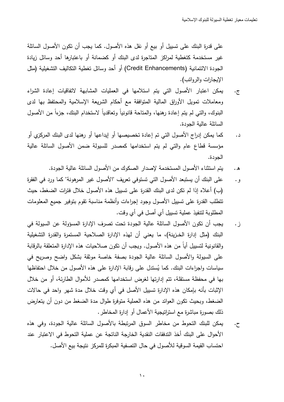على قدرة البنك على تسبيل أو بيع أو نقل هذه الأصول. كما يجب أن نكون الأصول السائلة غير مستخدمة كتغطية لمراكز المتاجرة لدى البنك أو كضمانة أو باعتبارها أحد وسائل زيادة الجودة الائتمانية (Credit Enhancements) أو أحد وسائل تغطية النكاليف التشغيلية (مثل الإيجارات والرواتب).

- ج. يمكن اعتبار الأصول التي يتم استلامها في العمليات المشابهة لاتفاقيات إعادة الشراء ومعاملات تمويل الأوراق المالية المتوافقة مع أحكام الشريعة الإسلامية والمحتفظ بها لدى البنوك، والتي لم يتم إعادة رهنها، والمتاحة قانونيا وتعاقديا لاستخدام البنك، جزءا من الأصول السائلة عالية الجودة.
- د. كما يمكن إدراج الأصول التي تم إعادة تخصيصها أو إيداعها أو رهنها لدى البنك المركزي أو مؤسسة قطاع عام والتي لم يتم استخدامها كمصدر للسيولة ضمن الأصول السائلة عالية الجودة.
	- ه . يتم استثناء الأصول المستخدمة لإصدار الصكوك من الأصول السائلة عالية الجودة.
- و . علـى البنك أن يستبعد الأصول التي تستوفي تعريف "الأصول غير المرهونة" كما ورد في الفقرة (ب) أعلاه إذا لم تكن لدى البنك القدرة على تسبيل هذه الأصول خلال فترات الضغط، حيث تطلب القدرة على تسييل الأصول وجود إجراءات وأنظمة مناسبة نقوم بتوفير جميع المعلومات المطلوبة لتتفيذ عملية تسييل أي أصل في أي وقت.
- ز . يجب أن نكون الأصول السائلة عالية الجودة تحت تصرف الإدارة المسؤولة عن السيولة في البنك (مثل إدارة الخـزينـة)، ما يعني أن لمهذه الإدارة الصـلاحية المستمرة والقدرة التشغيلية والقانونية لتسييل أيا من هذه الأصول. ويجب أن تكون صلاحيات هذه الإدارة المتعلقة بالرقابة على السيولة والأصول السائلة عالية الجودة بصفة خاصة موثقة بشكل واضح وصريح في سياسات واجراءات البنك. كما يُستدل على رقابة الإدارة على هذه الأصول من خلال احتفاظها بها في محفظة مستقلة، تتم إدارتها لغرض استخدامها كمصدر للأموال الطارئة، أو من خلال الإثبات بأنه بإمكان هذه الإدارة تسييل الأصل في أي وقت خلال مدة شهر واحد في حالات الضغط، وبحيث نكون العوائد من هذه العملية متوفرة طوال مدة الضغط من دون أن يتعارض ذلك بصورة مباشرة مع استراتيجية الأعمال أو إدارة المخاطر .
- ح. يمكن للبنك التحوط من مخاطر السوق المرتبطة بالأصول السائلة عالية الجودة، وفي هذه الأحوال على البنك آخذ الندفقات النقدية الخارجة الناتجة عن عملية النحوط في الاعتبار عند احتساب القيمة السوقية للأصول في حال التصفية المبكرة للمركز نتيجة بيع الأصل.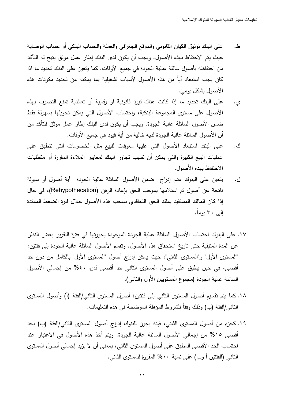- على البنك توثيق الكيان القانوني والموقع الجغرافي والعملة والحساب البنكي أو حساب الوصاية ط. حيث يتم الاحتفاظ بهذه الأصول. ويجب أن يكون لدى البنك إطار عمل موثق يتيح له التأكد من احتفاظه بأصول سائلة عالية الجودة في جميع الأوقات. كما يتعين على البنك تحديد ما اذا كان يجب استبعاد أياً من هذه الأصول لأسباب تشغيلية بما يمكنه من تحديد مكونات هذه الأصول بشكل يومي.
- على البنك تحديد ما إذا كانت هناك قيود قانونية أو رقابية أو تعاقدية تمنع التصرف بهذه  $\cdot$ د الأصول على مستوى المجموعة البنكية، واحتساب الأصول التي يمكن تحويلها بسهولة فقط ضمن الأصول السائلة عالية الجودة. ويجب أن يكون لدى البنك إطار عمل موثق للتأكد من أن الأصول السائلة عالية الجودة لديه خالية من أية قيود في جميع الأوقات.
- على البنك استبعاد الأصول التي عليها معوفات للبيع مثل الخصومات التي نتطبق على ك. عمليات البيع الكبيرة والتي يمكن أن تسبب تجاوز البنك لمعابير الملاءة المقررة أو متطلبات الاحتفاظ بهذه الأصول.
- يتعين على البنوك عدم إدراج حضمن الأصول السائلة عالية الجودة- أية أصول أو سيولة ل. ناتجة عن أصول تم استلامها بموجب الحق بإعادة الرهن (Rehypothecation)، في حال إذا كان المالك المستفيد يملك الحق التعاقدي بسحب هذه الأصول خلال فترة الضغط الممتدة إلى ٣٠ يوماً.
- ١٧. على البنوك احتساب الأصول السائلة عالية الجودة الموجودة بحوزتها في فترة التقرير بغض النظر عن المدة المنبقية حتى ناريخ استحقاق هذه الأصول. ونقسم الأصول السائلة عالية الجودة إلى فئتين: "المستوى الأول" و"المستوى الثاني"، حيث يمكن إدراج أصول "المستوى الأول" بالكامل من دون حد أقصبي، في حين يطبق على أصول المستوى الثاني حد أقصبي قدره ٤٠% من إجمالي الأصول السائلة عالية الجودة (مجموع المستويين الأول والثاني).
- ١٨. كما يتم نقسيم أصول المستوى الثاني إلى فئتين: أصول المستوى الثاني/الفئة (أ) وأصول المستوى الثاني/الفئة (ب) وذلك وفقاً للشروط المؤهلة الموضحة في هذه التعليمات.
- ١٩. كجزء من أصول المستوى الثاني، فإنه يجوز للبنوك إدراج أصول المستوى الثاني/الفئة (ب) بحد أقصىي ١٥% من إجمالي الأصول السائلة عالية الجودة. ويتم أخذ هذه الأصول في الاعتبار عند احتساب الحد الأقصـي المطبق علـي أصـول المستوى الثانـي، بمعنـي أن لا يزيد إجمالـي أصـول المستوى الثاني (الفئتين أ وب) على نسبة ٤٠% المقررة للمستوى الثاني.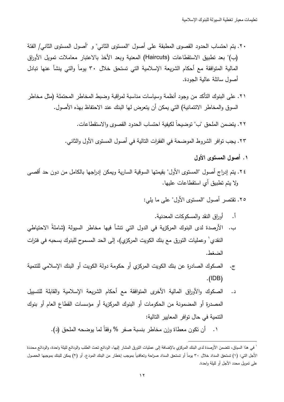- ٢٠. بتم احتساب الحدود القصوى المطبقة على أصول "المستوى الثاني" و "أصول المستوى الثاني/ الفئة (ب)" بعد تطبيق الاستقطاعات (Haircuts) المعنية وبعد الأخذ بالاعتبار معاملات تمويل الأوراق المالية المتوافقة مع أحكام الشريعة الإسلامية التي تستحق خلال ٣٠ يوماً والتي ينشأ عنها تبادل أصول سائلة عالية الجودة.
- ٢١. على البنوك النأكد من وجود أنظمة وسياسات مناسبة لمراقبة وضبط المخاطر المحتملة (مثل مخاطر السوق والمخاطر الائتمانية) التي يمكن أن يتعرض لها البنك عند الاحتفاظ بهذه الأصول.
	- ٢٢. يتضمن الملحق "ب" توضيحاً لكيفية احتساب الحدود القصوى والاستقطاعات.

٢٣. يجب نوافر الشروط الموضحة في الفقرات النالية في أصول المستوى الأول والثاني.

- ١. أصول المستوى الأول
- ٢٤. يتم إدراج أصول "المستوى الأول" بقيمتها السوقية السارية ويمكن إدراجها بالكامل من دون حد أقصبي ولا يتم نطبيق أي استقطاعات عليها.
	- ٢٥. نقتصر أصول "المستوى الأول" على ما يلي:
		- أ. أوراق النقد والمسكوكات المعدنبة.
- ب. الأرصدة لدى البنوك المركزية في الدول التي نتشأ فيها مخاطر السيولة (شاملةً الاحتياطي النقدي` وعمليات النورق مع بنك الكويت المركزي)، إلى الحد المسموح للبنوك بسحبه في فنرات الضغط.
- الصكوك الصادرة عن بنك الكويت المركزي أو حكومة دولة الكويت أو البنك الإسلامي للنتمية  $\cdot$ ج.  $.$ (IDB)
- الصكوك والأوراق المالية الأخرى المنوافقة مع أحكام الشريعة الإسلامية والقابلة للتسييل د. المصدرةِ أو المضمونة من الحكومات أو البنوك المركزية أو مؤسسات القطاع العام أو بنوك النتمية في حال توافر المعابير التالية:
	- ١. أن نكون معطاة وزن مخاطر بنسبة صفر % وفقاً لما يوضحه الملحق (د).

<sup>`</sup> في هذا السياق، تتضمن الأرصدة لدى البنك المركزي بالإضافة إلى عمليات التورق المشار إليها، الودائع تحت الطلب والودائع لليلة واحدة، والودائع محددة الأجل التي: (١) تستحق السداد خلال ٣٠ يوماً أو تستحق السداد صراحة وتعاقدياً بموجب إخطار من البنك المودع. أو (٢) يمكن للبنك بموجبها الحصول على نمويل محدد الأجل أو لليلة واحدة.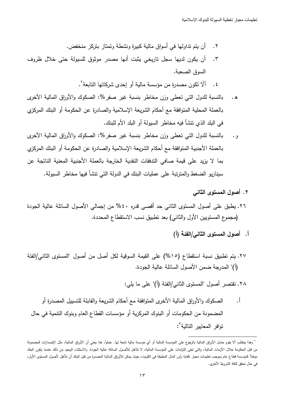- ٢. أن يتم تداولها في أسواق مالية كبيرةٍ ونشطةٍ وتمتاز بتركز ٍ منخفض.
- ِّ أَن يكون لديها سجل تاريخي يثبت أنها مصدر موثوق للسيولة حتى خلال ظروف  $\cdot$   $\mathsf{r}$ السوق الصعبة.
	- ٤. ألَّا نكون مصدرةٍ من مؤسسة مالية أو إحدى شركانها التابعة'.
- بالنسبة للدول التي تعطي وزن مخاطر بنسبة غير صفر %: الصكوك والأوراق المالية الأخرى ه. بالعملة المحلية المتوافقة مع أحكام الشريعة الإسلامية والصادرة عن الحكومة أو البنك المركزي في البلد الذي نتشأ فيه مخاطر السيولة أو البلد الأم للبنك.
- بالنسبة للدول التبي تعطي وزن مخاطر بنسبة غير صفر %: الصكوك والأوراق المالية الأخرى و . بالعملة الأجنبية المتوافقة مع أحكام الشريعة الإسلامية والصادرة عن الحكومة أو البنك المركزي بما لا يزيد على قيمة صافي التدفقات النقدية الخارجة بالعملة الأجنبية المعنية الناتجة عن سيناريو الضغط والمترنبة على عمليات البنك في الدولة التي تتشأ فيها مخاطر السيولة.
	- ٢. أصول المستوى الثاني
- ٢٦. يطبق على أصول المستوى الثاني حد أقصى قدره ٤٠% من إجمالي الأصول السائلة عالية الجودة (مجموع المستويين الأول والثاني) بعد نطبيق نسب الاستقطاع المحددة.
	- أ. أصول المستوى الثاني/الفئة (أ)
- ٢٧. يتم تطبيق نسبة استقطاع (١٥%) على القيمة السوقية لكل أصل من أصول "المستوى الثاني/الفئة (أ)" المدرجة ضمن الأصول السائلة عالية الجودة.
	- ٢٨. تقتصر أصول "المستوى الثاني/الفئة (أ)" على ما يلي:
	- <u>أ.</u> الصكوك والأوراق المالية الأخرى المتوافقة مع أحكام الشريعة والقابلة للتسبيل المصدرة أو المضمونة من الحكومات أو البنوك المركزية أو مؤسسات القطاع العام وبنوك النتمية في حال نوافر المعابير التالبة :

<sup>`</sup> وهذا يتطلب ألا يقوم حامل الأوراق المالية بالرجوع على المؤسسة المالية أو أي مؤسسة مالية تابعة ليها. عملياً، هذا وبعني أن الأوراق المالية، مثل الإصدارات المضمونة من قبل الحكومة خلال الأزمات المالية، والتي تبقى التزامات على المؤسسة المالية، لا تتأهل للأصول السائلة عالية الجودة. والاستثناء الوحيد من ذلك عندما يكون البنك مؤهلاً كمؤسسة قطاع عام بموجب تعليمات معيار كفاية رأس المال المطبقة في الكويت، حيث يمكن للأوراق المالية المصدرة من قبل البنك أن تتأهل لأصول المستوى الأول، في حال تحقق كافة الشروط الأخرى.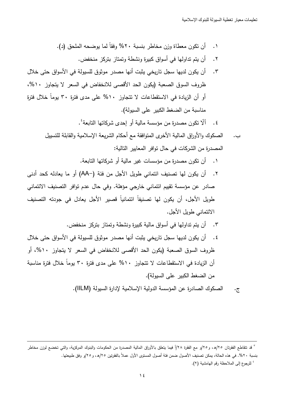- ٠١ أن تكون معطاة وزن مخاطر بنسبة ٢٠% وفقا لما يوضحه الملحق (د).
	- ٢. أن يتم تداولمها في أسواق كبيرة ونشطة وتمتاز بتركز منخفض.
- ٣. أن يكون لديها سجل تاريخي يثبت أنها مصدر موثوق للسيولة في الأسواق حتى خلال ظروف السوق الصعبة (يكون الحد الأقصىي للانخفاض في السعر لا يتجاوز ١٠%، أو أن الزيادة في الاستقطاعات لا تتجاوز ١٠% على مدى فترة ٣٠ يوماً خلال فترة مناسبة من الضغط الكبير على السيولة).
	- ٤. ألّا نكون مصدرة من مؤسسة مالية أو إحدى شركانها النابعة ُ.
	- ب. الصكوك والأوراق المالية الأخرى المتوافقة مع أحكام الشريعة الإسلامية والقابلة للتسبيل المصدرة من الشركات في حال توافر المعايير التالية:
		- ٠١ أن نكون مصدرة من مؤسسات غير مالية أو شركاتها التابعة.
- ٢. أن يكون لها تصنيف ائتماني طويل الأجل من فئة (−AA) أو ما يعادله كحد أدنى صادر عن مؤسسة تقييم ائتماني خارجي مؤهلة. وفي حال عدم توافر التصنيف الائتماني طويل الأجل، أن يكون لها تصنيفاً ائتمانياً قصبر الأجل يعادل في جودته التصنيف الائتماني طويل الأجل.
	- ٣. أن يتم تداولمها في أسواق مالية كبيرة ونشطة وتمتاز بتركز منخفض.
- ٤. أن يكون لديها سجل ناريخي يثبت أنها مصدر موثوق للسيولة في الأسواق حتى خلال ظروف السوق الصعبة (يكون الحد الأقصىي للانخفاض في السعر لا يتجاوز ١٠%، أو أن الزيادة في الاستقطاعات لا تتجاوز ١٠% على مدى فترة ٣٠ بوما خلال فترة مناسبة من الضغط الكبير على السيولة).

-

ج. الصكوك الصادرة عن المؤسسة الدولية الإسلامية لإدارة السيولة (IILM).

ُ للرجوع إلى الملاحظة رقم الهامشية (٢).

<sup>ً</sup> قد نتقاطع الفقرتان ٢٥/هـ، و٢٥/و مع الفقرة ٢٨/أ فيما يتعلق بالأوراق المالية المصدرة من الحكومات والبنوك المركزية، والتي تخضع لوزن مخاطر بنسبة ٢٠%. في هذه الحالة، يمكن تصنيف الأصول ضمن فئة أصول المستوى الأول عملا بالفقرتين ٢٥/هـ، و ٢٥/و وفق طبيعتها.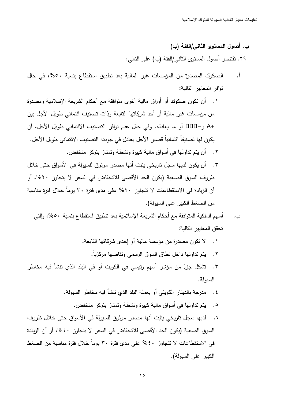ب. أصول المستوى الثاني/الفئة (ب) ٢٩. تقتصر أصول المستوى الثاني/الفئة (ب) على التالي:

- <u>أ.</u> الصكوك المصدرة من المؤسسات غير المالية بعد نطبيق استقطاع بنسبة ٥٠%، في حال نوافر المعابير التالية:
- ١. أن نكون صكوك أو أوراق مالية أخرى متوافقة مع أحكام الشريعة الإسلامية ومصدرة من مؤسسات غير مالية أو أحد شركاتها التابعة وذات تصنيف ائتماني طويل الأجل بين +A و−BBB أو ما يعادله. وفي حال عدم توافر التصنيف الائتماني طويل الأجل، أن يكون لها تصنيفاً ائتمانياً قصبر ِ الأجل يعادل في جودته التصنيف الائتماني طويل الأجل. ٢. أن يتم تداولها في أسواق مالية كبيرة ونشطة وتمتاز بتركز منخفض.
- ٣. أن يكون لديها سجل تاريخي يثبت أنها مصدر موثوق للسيولة في الأسواق حتى خلال ظروف السوق الصعبة (يكون الحد الأقصبي للانخفاض في السعر لا يتجاوز ٢٠%، أو أن الزيادة في الاستقطاعات لا تتجاوز ٢٠% على مدى فترة ٣٠ يوماً خلال فترة مناسبة من الضغط الكبير على السيولة).
	- أسهم الملكية المتوافقة مع أحكام الشريعة الإسلامية بعد نطبيق استقطاع بنسبة ٥٠%، والتي ب. تحقق المعايير التالية:
		- ١. لا نكون مصدرةٍ من مؤسسة مالية أو إحدى شركاتها التابعة.
			- ٢. يتم نداولها داخل نطاق السوق الرسمي وتقاصها مركزياً.
- ٣. تشكل جزءً من مؤشر أسهم رئيسي في الكويت أو في البلد الذي تتشأ فيه مخاطر السبولة.
	- ٤. مدرجة بالدينار الكويتي أو بعملة البلد الذي نتشأ فيه مخاطر السيولة.
		- ٥. يتم تداولها في أسواق مالية كبيرة ونشطة وتمتاز بتركز منخفض.
- ٦. لديها سجل تاريخي يثبت أنها مصدر موثوق للسيولة في الأسواق حتى خلال ظروف السوق الصعبة (يكون الحد الأقصى للانخفاض في السعر لا يتجاوز ٤٠%، أو أن الزيادة في الاستقطاعات لا تتجاوز ٤٠% على مدى فترة ٣٠ يوماً خلال فترة مناسبة من الضغط الكبير على السيولة).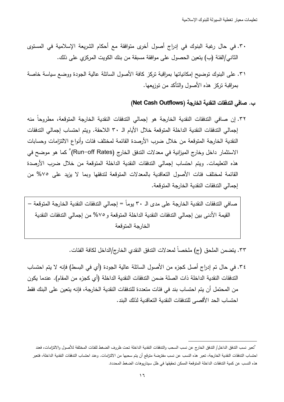- ٣٠. في حال رغبة البنوك في إدراج أصول أخرى متوافقة مع أحكام الشريعة الإسلامية في المستوى الثاني/الفئة (ب) يتعين الحصول على موافقة مسبقة من بنك الكويت المركزي على ذلك.
- ٣١. على البنوك نوضيح إمكانياتها بمراقبة نركز كافة الأصول السائلة عالية الجودة ووضع سياسة خاصة بمراقبة تركز هذه الأصول والتأكد من توزيعها.

## ب. صافي التدفقات النقدية الخارجة (Net Cash Outflows)

٣٢. إن صافي التدفقات النقدية الخارجة هو إجمالي التدفقات النقدية الخارجة المتوقعة، مطروحاً منه إجمالي الندفقات النقدية الداخلة المتوقعة خلال الأيام الـ ٣٠ اللاحقة. ويتم احتساب إجمالي الندفقات النقدية الخارجة المتوقعة من خلال ضرب الأرصدة القائمة لمختلف فئات وأنواع الالتزامات وحسابات الاستثمار داخل وخارج الميزانية في معدلات الندفق الخارج (Run–off Rates) ْ كما هو موضح في هذه التعليمات. ويتم احتساب إجمالي التدفقات النقدية الداخلة المتوقعة من خلال ضرب الأرصدة القائمة لمختلف فئات الأصول التعاقدية بالمعدلات المتوقعة لتدفقها وبما لا يزيد على ٧٥% من إجمالي الندفقات النقدية الخارجة المنوقعة.

صافي التدفقات النقدية الخارجة على مدى الـ ٣٠ يوماً = إجمالي الندفقات النقدية الخارجة المتوقعة – القيمة الأدنى بين إجمالي الندفقات النقدية الداخلة المتوقعة و 0 % من إجمالي التدفقات النقدية الخارجة المتوقعة

٣٣. يتضمن الملحق (ج) ملخصاً لمعدلات الندفق النقدي الخارج/الداخل لكافة الفئات.

٣٤. في حال تم إدراج أصل كجزء من الأصول السائلة عالية الجودة (أي في البسط) فإنه لا يتم احتساب التدفقات النقدية الداخلة ذات الصلة ضمن التدفقات النقدية الداخلة (أي كجزء من المقام). عندما يكون من المحتمل أن يتم احتساب بند في فئات متعددة للتدفقات النقدية الخارجة، فإنه يتعين على البنك فقط احتساب الحد الأقصبي للتدفقات النقدية التعاقدية لذلك البند.

<sup>°</sup>تعبر نسب الندفق الداخل/ الندفق الخارج عن نسب السحب والندفقات النقدية الداخلة تحت ظروف الضغط للفئات المختلفة للأصول والالتزامات، فعند احتساب التدفقات النقدية الخارجة، تعبر هذه النسب عن نسب مفترضة متوقع أن يتم سحبها من الالتزامات. وعند احتساب التدفقات النقدية الداخلة، فتعبر هذه النسب عن كمية التدفقات الداخلة المتوقعة الممكن تحقيقها في ظل سيناريوهات الضغط المحددة.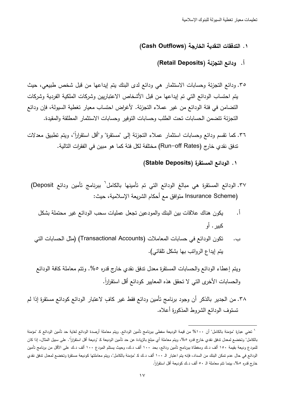#### ١. التدفقات النقدية الخارجة (Cash Outflows)

### أ. ودائع التجزئة (Retail Deposits)

- ٣٥. ودائـع التجزئة وحسابات الاستثمار هي ودائـع لدى البنك يتم إيداعها من قبل شخص طبيعي، حيث يتم احتساب الودائع التي تم إيداعها من قبل الأشخاص الاعتباريين وشركات الملكية الفردية وشركات التضامن في فئة الودائع من غير عملاء التجزئة. لأغراض احتساب معيار تغطية السيولة، فإن ودائع التجزئة تتضمن الحسابات تحت الطلب وحسابات التوفير وحسابات الاستثمار المطلقة والمقيدة.
- ٣٦. كما نقسم ودائع وحسابات استثمار عملاء النجزئة إلى "مستقرة" و"أقل استقرارا"، وببتم نطبيق معدلات تدفق نقدي خارج (Run–off Rates) مختلفة لكل فئة كما هو مبين في الفقرات التالية.
	- ١. الودائع المستقرة (Stable Deposits)

-

- ٣٧. الودائع المستقرة هي مبالغ الودائع التي تم تأمينها بالكامل<sup>٦</sup> ببرنامج تأمين ودائع Deposit) Insurance Scheme) متوافق مع أحكام الشريعة الإسلامية، حيث:
	- أ. يكون هناك علاقات بين البنك والمودعين تجعل عمليات سحب الودائع غير محتملة بشكل كبير . أو
	- ب. نكون الودائع في حسابات المعاملات (Transactional Accounts) (مثل الحسابات التي يتم إيداع الروانب بها بشكل نلقائي).
	- ويتم إعطاء الودائع والحسابات المستقرة معدل تدفق نقدي خارج قدره ٥%. وتتم معاملة كافة الودائع والحسابات الأخرى التي لا تحقق هذه المعابير كودائع اقل استقرارا.
- ٣٨. من الجدير بالذكر أن وجود برنامج تأمين ودائع فقط غير كافٍ لاعتبار الودائع كودائع مستقرة إذا لم تستوف الودائع الشروط المذكورة أعلاه.

<sup>&</sup>lt;sup>7</sup> تعني عبارة "مؤمنة بالكامل" أن ١٠٠% من قيمة الوديعة مغطى ببرنامج تأمين الودائع. ويتم معاملة أرصدة الودائع كد تمين الودائع كـ "مؤمنة بالكامل" وتخضع لمعدل تدفق نقدي خارج قدره ٥%، ويتم معاملة أي مبلغ بالزيعة لدارديعة كـ "وديعة أقل استقرارا". على سبيل المثال، إذا كان للمودع وديعة بقيمة ١٥٠ ألف د.ك ومغطاة ببرنامج تامين ودائع، بحد ١٠٠ ألف د.ك، وحيث يستلم المودع ١٠٠ ألف د.ك على الأقل من برنامج تامين الودائع في حال عدم تمكن البنك من السداد، فإنه يتم اعتبار الـ ١٠٠ ألف د.ك كـ "مؤمنة بالكامل"، ويتم معاملتها كوديعة مستقرة وتخضع لمعدل ندفق نقدي خارج قدره ٥%، بينما تتم معاملة الـ ٥٠ ألف د.ك كوديعة أقل استقرارا.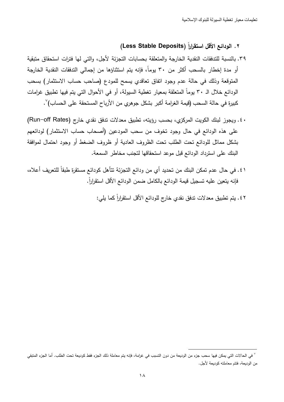## ٢. الودائـع الأقل استقراراً (Less Stable Deposits)

- ٣٩. بالنسبة للتدفقات النقدية الخارجة والمتعلقة بحسابات التجزئة لأجل، والتي لها فترات استحقاق متبقية أو مدة إخطار بالسحب أكثر من ٣٠ يوما، فإنه يتم استثناؤها من إجمالي التدفقات النقدية الخارجة المتوقعة وذلك في حالة عدم وجود انفاق تعاقدي يسمح للمودع (صاحب حساب الاستثمار) بسحب الودائع خلال الـ ٣٠ يوما المتعلقة بمعيار تغطية السيولة، أو في الأحوال التي يتم فيها تطبيق غرامات كبيرة في حالة السحب (قيمة الغرامة أكبر بشكل جوهري من الأرباح المستحقة على الحساب) ٚ .
- . ٤. ويجوز لبنك الكويت المركزي، بحسب رؤيته، تطبيق معدلات تدفق نقدي خارج (Run–off Rates) على هذه الودائع في حال وجود تخوف من سحب المودعين (أصحاب حساب الاستثمار) لودائعهم بشكل مماثل للودائع تحت الطلب تحت الظروف العادية أو ظروف الضغط أو وجود احتمال لموافقة البنك على استرداد الودائع قبل موعد استحقاقها لتجنب مخاطر السمعة.
- ٤١. في حال عدم تمكن البنك من تحديد أي من ودائع التجزئة تتأهل كودائع مستقرة طبقا للتعريف أعلاه، فإنه بتعين عليه تسجيل قيمة الودائع بالكامل ضمن الودائع الأقل استقرارا.
- ٤٢. يتم تطبيق معدلات تدفق نقدي خارج للودائع الأقل استقراراً كما يلي:

-

<sup>`</sup> في الحالات التي يمكن فيها سحب جزء من الوديعة من دون النسبب في غرامة، فإنه يتم معاملة ذلك الجزء فقط كوديعة تحت الطلب. أما الجزء المنبقي من الوديعة، فتتم معاملته كوديعة لأجل.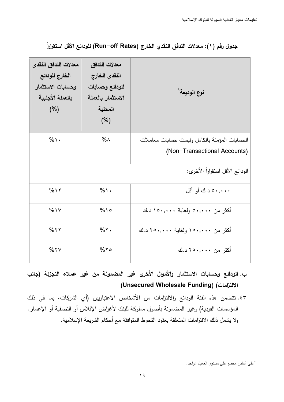| معدلات التدفق النقدي<br>الخارج للودائع<br>وحسابات الاستثمار<br>بالعملة الأجنبية<br>(%) | معدلات التدفق<br>النقدي الخارج<br>للودائع وحسابات<br>الاستثمار بالعملة<br>المحلية<br>(%) | نوع الوديعة^                                                                  |
|----------------------------------------------------------------------------------------|------------------------------------------------------------------------------------------|-------------------------------------------------------------------------------|
| $\%$                                                                                   | $\%$ $\wedge$                                                                            | الحسابات المؤمنة بالكامل وليست حسابات معاملات<br>(Non-Transactional Accounts) |
|                                                                                        |                                                                                          | الودائع الأقل استقراراً الأخرى:                                               |
| $%$ 1 $\gamma$                                                                         | $\%$                                                                                     | ۰۰,۰۰۰ د.ك أو أقل                                                             |
| $%$ \ $\vee$                                                                           | $%$ 10                                                                                   | أكثر من ٥٠,٠٠٠ ولغاية ١٥٠,٠٠٠ د.ك                                             |
| $%$ ٢٢                                                                                 | $%$ ٢.                                                                                   | أكثر من ١٥٠,٠٠٠ ولغاية ٢٥٠,٠٠٠ د.ك                                            |
| %YV                                                                                    | $%$ ٢٥                                                                                   | أكثر من ٢٥٠,٠٠٠ د.ك                                                           |

جدول رقم (١): معدلات التدفق النقدي الخارج (Run–off Rates) للودائع الأقل استقراراً

- ب. الودائع وحسابات الاستثمار والأموال الأخرى غير المضمونة من غير عملاء التجزئة (جانب (الالتزامات) (Unsecured Wholesale Funding)
- ٤٣. نتضمن هذه الفئة الودائع والالنزامات من الأشخاص الاعتباريين (أي الشركات، بما في ذلك المؤسسات الفردية) وغير المضمونة بأصول مملوكة للبنك لأغراض الإفلاس أو التصفية أو الإعسار. ولا يشمل ذلك الالتزامات المتعلقة بعقود التحوط المتوافقة مع أحكام الشريعة الإسلامية.

<sup>^</sup>على أساس مجمع على مستوى العميل الواحد.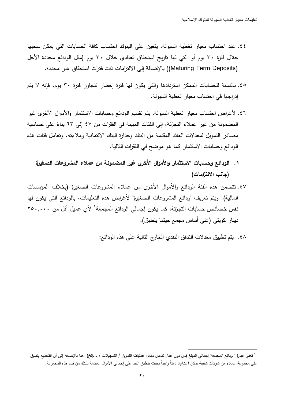- ٤٤. عند احتساب معبار تغطية السبولة، بتعبن على البنوك احتساب كافة الحسابات التي بمكن سحبها خلال فترةٍ ٣٠ يوم أو التي لها تاريخ استحقاق تعاقدي خلال ٣٠ يوم (مثل الودائع محددة الأجل (Maturing Term Deposits)) بالإضافة إلى الالتزامات ذات فترات استحقاق غير محددة.
- ٤٥. بالنسبة للحسابات الممكن استردادها والتي يكون لها فترة إخطار نتجاوز فترة ٣٠ يوم، فإنه لا يتم إدراجها في احتساب معيار تغطية السبولة.
- ٤٦. لأغراض احتساب معيار تغطية السيولة، بتم تقسيم الودائع وحسابات الاستثمار والأموال الأخرى غير المضمونة من غير عملاء التجزئة، إلى الفئات المبينة في الفقرات من ٤٧ إلى ٦٣ بناءً على حساسية مصادر النمويل لمعدلات العائد المقدمة من البنك وجدارة البنك الائتمانية وملاءته. وتعامل فئات هذه الودائع وحسابات الاستثمار كما هو موضح في الفقرات التالية.
	- ١ . الودائع وحسابات الاستثمار والأموال الأخرى غير المضمونـة من عملاء المشروعات الصغيرة (جانب الالتزامات)
- ٤٧. تتضمن هذه الفئة الودائع والأموال الأخرى من عملاء المشروعات الصغيرة (بخلاف المؤسسات المالية). ويتم تعريف "ودائع المشروعات الصغيرة" لأغراض هذه التعليمات، بالودائع التي يكون لها نفس خصائص حسابات التجزئة، كما يكون إجمالي الودائع المجمعة<sup>9</sup> لأي عميل أقل من ٢٥٠,٠٠٠ دينار كويتي (على أساس مجمع حيثما ينطبق).
	- ٤٨. يتم تطبيق معدلات الندفق النقدي الخارج التالية على هذه الودائع:

<sup>&</sup>quot; تعني عبارة "الودائع المجمعة" إجمالي المبلغ (من دون عمل تقاص مقابل عمليات التمويل / التسهيلات / …إلخ). هذا بالإضافة إلى أن التجميع ينطبق على مجموعة عملاء من شركات شقيقة يمكن اعتبارها دائناً واحداً بحيث ينطبق الحد على إجمالي الأموال المقدمة للبنك من قبل هذه المجموعة.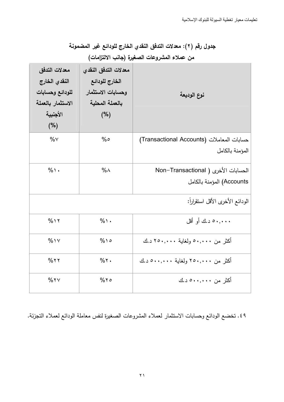جدول رقم (٢): معدلات التدفق النقدي الخارج للودائع غير المضمونة

| معدلات التدفق<br>النقدي الخارج<br>للودائع وحسابات<br>الاستثمار بالعملة<br>الأجنبية<br>(%) | معدلات التدفق النقدي<br>الخارج للودائع<br>وحسابات الاستثمار<br>بالعملة المحلية<br>(%) | نوع الوديعة                               |
|-------------------------------------------------------------------------------------------|---------------------------------------------------------------------------------------|-------------------------------------------|
| $\%$ $\vee$                                                                               | %                                                                                     | حسابات المعاملات (Transactional Accounts) |
|                                                                                           |                                                                                       | المؤمنة بالكامل                           |
| $%$ \ $\cdot$                                                                             | $% \wedge$                                                                            | الحسابات الأخرى ( Non-Transactional       |
|                                                                                           |                                                                                       | Accounts) المؤمنة بالكامل                 |
|                                                                                           |                                                                                       | الودائع الأخرى الأقل استقراراً:           |
| $%$ 1 $\gamma$                                                                            | $%$ \ .                                                                               | ۰۰۰,۰۰۰ د.ك أو أقل                        |
| $%$ 1 $\vee$                                                                              | $%$ 10                                                                                | أكثر من ٥٠,٠٠٠ ولغاية ٢٥٠,٠٠٠ د.ك         |
| $%$ ٢٢                                                                                    | $%$ $\cdot$                                                                           | أكثر من ٢٥٠,٠٠٠ ولغاية ٥٠٠,٠٠٠ د.ك        |
| %YV                                                                                       | $%$ ٢٥                                                                                | أكثر من ۰۰,۰۰۰× د.ك                       |

من عملاء المشروعات الصغيرة (جانب الالتزامات)

٤٩. تخضع الودائع وحسابات الاستثمار لعملاء المشروعات الصغيرة لنفس معاملة الودائع لعملاء التجزئة.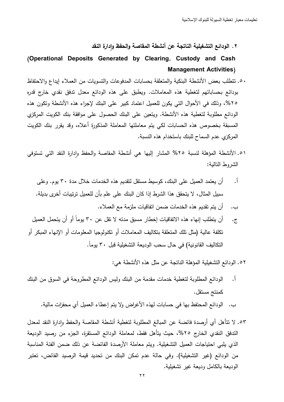٢ . الودائع التشغيلية الناتجة عن أنشطة المقاصة والحفظ وإدارة النقد

## (Operational Deposits Generated by Clearing, Custody and Cash Management Activities)

- 0. نتطلب بعض الأنشطة البنكية والمتعلقة بحسابات المدفوعات والتسويات من العملاء إيداع والاحتفاظ بودائع بحساباتهم لتغطية هذه المعاملات. ويطبق على هذه الودائع معدل تدفق نقدي خارج قدره ٢٥%، وذلك في الأحوال التي يكون للعميل اعتماد كبير على البنك لإجراء هذه الأنشطة ونكون هذه الودائع مطلوبة لتغطية هذه الأنشطة. ويتعين على البنك الحصول على موافقة بنك الكويت المركزي المسبقة بخصوص هذه الحسابات لكي يتم معاملتها المعاملة المذكورة أعلاه، وقد يقرر بنك الكويت المركزي عدم السماح للبنك باستخدام هذه النسبة.
- ٥١. الأنشطة المؤهلة لنسبة ٢٥% المشار إليها هي أنشطة المقاصة والحفظ وإدارة النقد التي تستوفي الشروط التالية:
	- أ. أن يعتمد العميل على البنك، كوسيط مستقل لنقديم هذه الخدمات خلال مدة ٣٠ يوم. وعلى سبيل المثال، لا يتحقق هذا الشرط إذا كان البنك على علم بأن للعميل ترتيبات آخرى بديلة.
		- ب. أن يتم تقديم هذه الخدمات ضمن انفاقيات ملزمة مع العملاء.
- ج. أن يتطلب إنهاء هذه الاتفاقيات إخطار مسبق مدنه لا نقل عن ٣٠ يوماً أو أن يتحمل العميل نكلفة عالية (مثل نلك المتعلقة بتكاليف المعاملات أو نكنولوجيا المعلومات أو الإنهاء المبكر أو النكاليف القانونية) في حال سحب الوديعة النشغيلية قبل ٣٠ يوما.

0۲. الودائع التشغيلية المؤهلة الناتجة عن مثل هذه الأنشطة هي:

- أ . الودائع المطلوبة لتغطية خدمات مقدمة من البنك وليس الودائع المطروحة في السوق من البنك كمنتج مستقل. ب. الودائع المحتفظ بها في حسابات لـهذه الأغراض ولا يتم إعطاء العميل أي محفزات مالية.
- ٥٣. لا نتأهل أي أرصدة فائضة عن المبالغ المطلوبة لتغطية أنشطة المقاصة والحفظ وإدارة النقد لمعدل الندفق النقدي الخارج ٢٥%، حيث يتأهل فقط، لمعاملة الودائع المستقرة، الجزء من رصيد الوديعة الذي يلبي احتياجات العميل التشغيلية. ويتم معاملة الأرصدة الفائضة عن ذلك ضمن الفئة المناسبة من الودائع (غير التشغيلية). وفي حالة عدم تمكن البنك من تحديد قيمة الرصيد الفائض، تعتبر الوديعة بالكامل وديعة غير تشغيلية.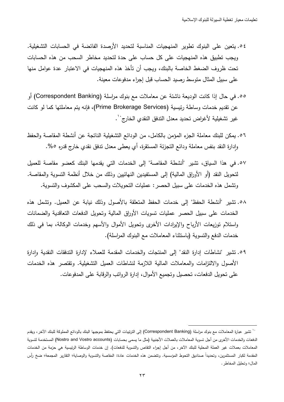- 0 2. يتعين على البنوك تطوير المنهجيات المناسبة لتحديد الأرصدة الفائضة في الحسابات التشغيلية. ويجب تطبيق هذه المنهجيات على كل حساب على حدة لتحديد مخاطر السحب من هذه الحسابات تحت ظروف الضغط الخاصة بالبنك، ويجب أن تأخذ هذه المنهجيات في الاعتبار عدة عوامل منها على سبيل المثال متوسط رصبد الحساب قبل إجراء مدفوعات معينة.
- 00. في حال إذا كانت الوديعة ناشئة عن معاملات مع بنوك مراسلة (Correspondent Banking) أو عن نقديم خدمات وساطة رئيسية (Prime Brokerage Services)، فإنه بتم معاملتها كما لو كانت غير تشغيلية لأغراض تحديد معدل الندفق النقدي الخارج``.
- 0٦. يمكن للبنك معاملة الجزء المؤمن بالكامل، من الودائع التشغيلية الناتجة عن أنشطة المقاصىة والحفظ وإدارة النقد بنفس معاملة ودائع التجزئة المستقرة، أي يعطى معدل ندفق نقدي خارج قدره ٥%.
- 07. في هذا السياق، تشير "أنشطة المقاصة" إلى الخدمات التي يقدمها البنك كعضو مقاصة للعميل لتحويل النقد (أو الأوراق المالية) إلى المستفيدين النهائيين وذلك من خلال أنظمة التسوية والمقاصىة. ونشمل هذه الخدمات على سبيل الحصر : عمليات التحويلات والسحب على المكشوف والتسوية.
- 0٨. تشير "أنشطة الحفظ" إلى خدمات الحفظ المتعلقة بالأصول وذلك نيابة عن العميل. وتشمل هذه الخدمات على سبيل الحصر عمليات تسويات الأوراق المالية وتحويل الدفعات التعاقدية والضمانات واستلام توزيعات الأرباح والإبرادات الأخرى وتحويل الأموال والأسهم وخدمات الوكالة، بما في ذلك خدمات الدفع والتسوية (باستثناء المعاملات مع البنوك المراسلة).
- 0۹. تشير "نشاطات إدارة النقد" إلى المنتجات والخدمات المقدمة للعملاء لإدارة التدفقات النقدية وإدارة الأصول والالتزامات والمعاملات المالية اللازمة لنشاطات العميل التشغيلية. ونقتصىر هذه الخدمات على تحويل الدفعات، تحصيل وتجميع الأموال، إدارة الرواتب والرقابة على المدفوعات.

-

<sup>``</sup> تشير عبارة المعاملات مع بنوك مراسلة (Correspondent Banking) إلى الترنيبات التي يحتفظ بموجبها البنك بالودائع المملوكة للبنك الآخر ، ويقدم الدفعات والخدمات الأخرى من أجل تسوية المعاملات بالعملات الأجنبية (مثّل ما يسمى بحسابات (Nostro and Vostro accounts) المستخدمة لتسوية المعاملات بعملات غير العملة المحلية للبنك الآخر، من أجل إجراء النقاص والتسوية للدفعات). إن خدمات الوساطة الرئيسية هي حزمة من الخدمات المقدمة لكبار المستثمرين، وتحديدا صناديق التحوط المؤسسية. وتتضمن هذه الخدمات عادة: المقاصة والتوصاية؛ التقارير المجمعة؛ ضخ رأس المال؛ وتحليل المخاطر .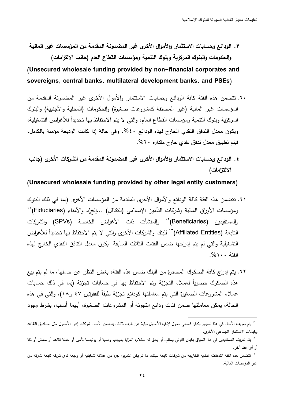٣. الودائـع وحسابات الاستثمار والأموال الأخرى غير المضمونـة المقدمـة من المؤسسات غير الماليـة والحكومات والبنوك المركزية وبنوك التنمية ومؤسسات القطاع العام (جانب الالتزامات)

## (Unsecured wholesale funding provided by non-financial corporates and sovereigns, central banks, multilateral development banks, and PSEs)

- ٦٠. نتضمن هذه الفئة كافة الودائع وحسابات الاستثمار والأموال الأخرى غير المضمونة المقدمة من المؤسسات غير المالية (غير المصنفة كمشروعات صغيرة) والحكومات (المحلية والأجنبية) والبنوك المركزية وبنوك النتمية ومؤسسات القطاع العام، والتي لا يتم الاحتفاظ بـها تحديدا للأغراض التشغيلية، ويكون معدل الندفق النقدي الخارج لـهذه الودائـع ٤٠%. وفي حالة إذا كانت الوديعة مؤمنة بالكامل، فيتم تطبيق معدل تدفق نقدى خارج مقداره ٢٠%.
- ٤. الودائع وحسابات الاستثمار والأموال الأخرى غير المضمونة المقدمة من الشركات الأخرى (جانب الالتزامات)

#### (Unsecured wholesale funding provided by other legal entity customers)

- ٦١. تتضمن هذه الفئة كافة الودائع والأموال الأخرى المقدمة من المؤسسات الأخرى (بما في ذلك البنوك ومؤسسات الأوراق المالية وشركات النأمين الإسلامي (النكافل) …إلخ)، والأمناء (Fiduciaries)'' والمستفيدين (Beneficiaries)<sup>٢</sup>′ والمنشآت ذات الأغراض الخاصـة (SPVs) والشركات النابعة (Affiliated Entities)<sup>7،</sup> للبنك والشركات الأخرى والتي لا يتم الاحتفاظ بـها تحديداً للأغراض التشغيلية والتي لم يتم إدراجها ضمن الفئات الثلاث السابقة. يكون معدل التدفق النقدي الخارج لهذه الفئة ١٠٠%.
- ٦٢. يتم إدراج كافة الصكوك المصدرة من البنك ضمن هذه الفئة، بغض النظر عن حاملها، ما لم يتم بيع هذه الصكوك حصريا لعملاء التجزئة وتم الاحتفاظ بها في حسابات تجزئة (بما في ذلك حسابات عملاء المشروعات الصغيرة التي يتم معاملتها كودائع تجزئة طبقا للفقرنين ٤٧ و٤٨)، والتي في هذه الحالة، يمكن معاملتها ضمن فئات ودائع التجزئة أو المشروعات الصغيرة، أيهما أنسب، بشرط وجود

-

<sup>&#</sup>x27;' يتم تعريف الأمناء في هذا السياق بكيان قانوني مخول لإدارة الأصول نايت بتضمن الأمناء شركات إدارة الأصول مثل صناديق التقاعد وكيانات الاستثمار الجماعي الأخرى.

<sup>``</sup> يتم تعريف المستفيدين في هذا السياق بكيان قانوني يستلم، أو بسلام المغليا بموجب وصية أو بوليصة تأمين أو خطة تقاعد أو معاش أو ثقة أو أي عقد آخر .

<sup>&</sup>quot; نتضمن هذه الفئة التدفقات النقدية الخارجة من شركات نابعة للبنك، ما لم يكن النمويل جزءً من علاقة تشغيلية أو وديعة لدى شركة تابعة لشركة من غير المؤسسات المالية.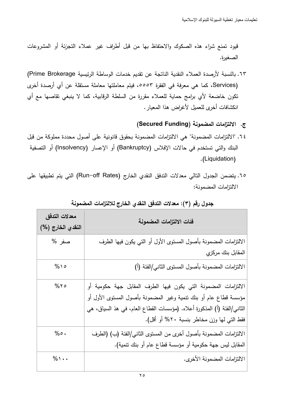قيود تمنع شراء هذه الصكوك والاحتفاظ بها من قبل أطراف غير عملاء التجزئة أو المشروعات الصغيرة.

٦٣. بالنسبة لأرصدة العملاء النقدية الناتجة عن تقديم خدمات الوساطة الرئيسية Prime Brokerage) (Services، كما هي معرفة في الفقرة ٥٥٥٣، فيتم معاملتها معاملة مستقلة عن أي أرصدة أخرى نكون خاضعة لأي برامج حماية للعملاء مقررة من السلطة الرقابية، كما لا ينبغي نقاصها مع أي انكشافات أخرى للعميل لأغراض هذا المعيار .

ج. الالتزامات المضمونة (Secured Funding)

- ٢٤. "الالتزامات المضمونة" هي الالتزامات المضمونة بحقوق قانونية على أصول محددة مملوكة من قبل البنك والتي تستخدم في حالات الإفلاس (Bankruptcy) أو الإعسار (Insolvency) أو التصفية .(Liquidation).
- 10. يتضمن الجدول التالي معدلات التدفق النقدى الخارج (Run−off Rates) التي يتم تطبيقها على الالتزامات المضمونة:

| معدلات التدفق     | فئات الالتزامات المضمونة                                                |  |
|-------------------|-------------------------------------------------------------------------|--|
| النقدي الخارج (%) |                                                                         |  |
| صفر %             | الالنزامات المضمونة بأصول المستوى الأول أو التي يكون فيها الطرف         |  |
|                   | المقابل بنك مركزي                                                       |  |
| $%$ 10            | الالتزامات المضمونة بأصول المستوى الثاني/الفئة (أ)                      |  |
| $%$ ٢٥            | الالتزامات المضمونة التي يكون فيها الطرف المقابل جهة حكومية أو          |  |
|                   | مؤسسة قطاع عام أو بنك نتمية وغير المضمونة بأصول المستوى الأول أو        |  |
|                   | الثاني/الفئة (أ) المذكورة أعلاه. (مؤسسات القطاع العام، في هذ السياق، هي |  |
|                   | فقط التي لمها وزن مخاطر بنسبة ٢٠% أو أقل).                              |  |
| $% \circ$ .       | الالتزامات المضمونة بأصول أخرى من المستوى الثاني/الفئة (ب) (الطرف       |  |
|                   | المقابل ليس جهة حكومية أو مؤسسة قطاع عام أو بنك نتمية).                 |  |
| $%$ \ $\cdot$     | الالتزامات المضمونة الأخرى.                                             |  |

## جدول رقم (٣): معدلات التدفق النقدي الخارج للالتزامات المضمونة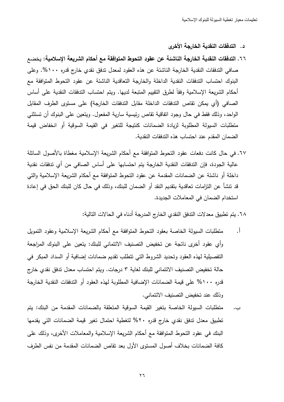- د . التدفقات النق*د*ية الخارجة الأخرى
- ٦٦. التدفقات النقدية الخارجة الناشئة عن عقود التحوط المتوافقة مع أحكام الشريعة الإسلامية: يخضع صافي التدفقات النقدية الخارجة الناشئة عن هذه العقود لمعدل تدفق نقدي خارج قدره ١٠٠%. وعلى البنوك احتساب الندفقات النقدية الداخلة والخارجة النعاقدية الناشئة عن عقود النحوط المنوافقة مع أحكام الشريعة الإسلامية وفقا لطرق التقييم المتبعة لديها. ويتم احتساب التدفقات النقدية على أساس الصـافي (أي يمكن تقاص الندفقات الداخلة مقابل الندفقات الخارجة) على مستوى الطرف المقابل الواحد، وذلك فقط في حال وجود انفاقية نقاص رئيسية سارية المفعول. ويتعين على البنوك أن تستثني متطلبات السيولة المطلوبة لزيادة الضمانات كنتيجة للتغير في القيمة السوقية أو انخفاض قيمة الضمان المقدم عند احتساب هذه التدفقات النقدية.
- ٦٧. في حال كانت دفعات عقود التحوط المتوافقة مع أحكام الشريعة الإسلامية مغطاة بالأصول السائلة عالية الجودة، فإن التدفقات النقدية الخارجة يتم احتسابها على أساس الصافي من أي تدفقات نقدية داخلة أو ناشئة عن الضمانات المقدمة عن عقود التحوط المتوافقة مع أحكام الشريعة الإسلامية والتي قد تتشأ عن النزامات تعاقدية بتقديم النقد أو الضمان للبنك، وذلك في حال كان للبنك الحق في إعادة استخدام الضمان في المعاملات الجديدة.

٦٨. يتم تطبيق معدلات الندفق النقدي الخارج المدرجة أدناه في الحالات التالية:

- أ . منطلبات السيولة الخاصة بعقود النحوط المنوافقة مع أحكام الشريعة الإسلامية وعقود النمويل رأي عقود أخرى ناتجة عن تخفيض التصنيف الائتماني للبنك: يتعين على البنوك المراجعة التفصيلية لمهذه العقود وتحديد الشروط التي تتطلب نقديم ضمانات إضافية أو السداد المبكر في حالة تخفيض التصنيف الائتماني للبنك لغاية ٣ درجات. ويتم احتساب معدل تدفق نقدي خارج قدره ١٠٠% على قيمة الضمانات الإضافية المطلوبة لهذه العقود أو التدفقات النقدية الخارجة وذلك عند تخفيض التصنيف الائتماني.
- ب. منطلبات السيولة الخاصـة بتغير القيمة السوقية المتعلقة بالضمانات المقدمة من البنك: يتم تطبيق معدل تدفق نقدي خارج قدره ٢٠% لتغطية احتمال تغير قيمة الضمانات التي يقدمها البنك في عقود النحوط المتوافقة مع أحكام الشريعة الإسلامية والمعاملات الأخرى، وذلك على كافة الضمانات بخلاف أصول المستوى الأول بعد نقاص الضمانات المقدمة من نفس الطرف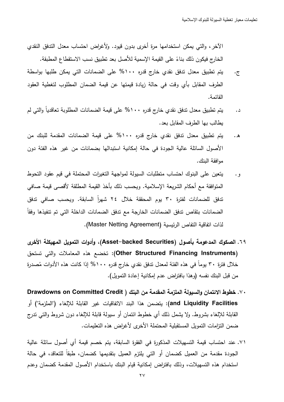الآخر ، والتي يمكن استخدامها مرةٍ أخرى بدون قيود. ولأغراض احتساب معدل الندفق النقدي الخارج فيكون ذلك بناءً على القيمة الإسمية للأصل بعد تطبيق نسب الاستقطاع المطبقة.

- ج. يتم تطبيق معدل تدفق نقدي خارج قدره ١٠٠% على الضمانات التي يمكن طلبها بواسطة الطرف المقابل بأي وقت في حالة زيادة قيمتها عن قيمة الضمان المطلوب لتغطية العقود القائمة.
- د. يتم تطبيق معدل تدفق نقدي خارج قدره ١٠٠% على قيمة الضمانات المطلوبة تعاقدياً والتي لم يطالب بها الطرف المقابل بعد.
- ه . يتم تطبيق معدل تدفق نقدي خارج قدره ١٠٠% على قيمة الضمانات المقدمة للبنك من الأصول السائلة عالية الجودة في حالة إمكانية استبدالها بضمانات من غير هذه الفئة دون موافقة البنك.
- و . يتعين على البنوك احتساب متطلبات السيولة لمواجهة التغيرات المحتملة في قيم عقود التحوط المتوافقة مع أحكام الشريعة الإسلامية. ويحسب ذلك بأخذ القيمة المطلقة لأقصىي قيمة صافي تدفق للضمانات لفترة ٣٠ يوم المحققة خلال ٢٤ شهرا السابقة. ويحسب صـافي تدفق الضمانات بتقاص تدفق الضمانات الخارجة مع تدفق الضمانات الداخلة التي تم تتفيذها وفقا لذات اتفاقية التفاص الرئيسية (Master Netting Agreement).
- ٦٩. الصكوك المدعومة بأصول (Asset–backed Securities)، وأدوات التمويل المهيكلة الأخرى (Other Structured Financing Instruments): تخضع هذه المعاملات والتي تستحق خلال فترة ٣٠ يوما في هذه الفئة لمعدل تدفق نقدي خارج قدره ١٠٠% إذا كانت هذه الأدوات مُصدرة من قبل البنك نفسه (وهذا بافتراض عدم إمكانية إعادة التمويل).
- ٧٠. خطوط الائتمان والسيولة الملزمة المقدمة من البنك ( Drawdowns on Committed Credit and Liquidity Facilities): يتضمن هذا البند الاتفاقيات غير القابلة للإلغاء ("الملزمة") أو القابلة للإلغاء بشروط. ولا بشمل ذلك أي خطوط ائتمان أو سبولة قابلة للإلغاء دون شروط والتي تدرج ضمن التزامات التمويل المستقبلية المحتملة الأخرى لأغراض هذه التعليمات.
- ٧١. عند احتساب قيمة التسهيلات المذكورة في الفقرة السابقة، يتم خصم قيمة أي أصول سائلة عالية الجودة مقدمة من العميل كضمان أو التي يلتزم العميل بتقديمها كضمان، طبقا للتعاقد، في حالة استخدام هذه التسهيلات، وذلك بافتراض إمكانية قيام البنك باستخدام الأصول المقدمة كضمان وعدم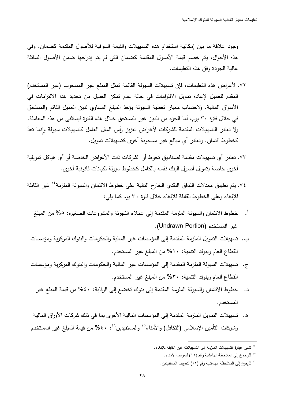وجود علاقة ما بين إمكانية استخدام هذه التسهيلات والقيمة السوقية للأصول المقدمة كضمان. وفي هذه الأحوال، يتم خصم قيمة الأصول المقدمة كضمان التي لم يتم إدراجها ضمن الأصول السائلة عالية الـجودة وفق هذه التعليمات.

- ٧٢. لأغراض هذه التعليمات، فإن تسهيلات السيولة القائمة تمثل المبلغ غير المسحوب (غير المستخدم) المقدم للعميل لإعادة تمويل الالتزامات في حالة عدم تمكن العميل من تجديد هذا الالتزامات في الأسواق المالية. ولاحتساب معيار تغطية السيولة يؤخذ المبلغ المساوي لدين العميل القائم والمستحق في خلال فترة ٣٠ يوم، أما الجزء من الدين غير المستحق خلال هذه الفترة فيستثنى من هذه المعاملة. ولا تعتبر التسهيلات المقدمة للشركات لأغراض تعزيز رأس المال العامل كتسهيلات سيولة وإنما تعدّ ٕ كخطوط ائتمان. وتعتبر أي مبالغ غير مسحوبة أخرى كتسهيلات تمويل.
- ٧٣. تعتبر أي تسهيلات مقدمة لصناديق تحوط أو الشركات ذات الأغراض الخاصىة أو أي هياكل تمويلية أخرى خاصة بتمويل أصول البنك نفسه بالكامل كخطوط سيولة لكيانات قانونية أخرى.
- ٧٤. يتم تطبيق معدلات النتدفق النقدي الخارج التالية على خطوط الائتمان والسيولة الملزمة<sup>، ا</sup> غير القابلة للإلغاء وعلى الخطوط القابلة للإلغاء خلال فترة ٣٠ بوم كما بلي:
	- أ. خطوط الائتمان والسيولة الملزمة المقدمة إلى عملاء النجزئة والمشروعات الصغيرة: ٥% من المبلغ غير المستخدم (Undrawn Portion).
	- ب. تسهيلات التمويل الملزمة المقدمة إلى المؤسسات غير المالية والحكومات والبنوك المركزية ومؤسسات القطاع العام وبنوك النتمية: ١٠% من المبلغ غير المستخدم.
	- ج. تسهيلات السيولة الملزمة المقدمة إلى المؤسسات غير المالية والحكومات والبنوك المركزية ومؤسسات القطاع العام وبنوك النتمية: ٣٠% من المبلغ غير المستخدم.
		- د. خطوط الائتمان والسيولة الملزمة المقدمة إلى بنوك تخضع إلى الرقابة: ٤٠% من قيمة المبلغ غير المستخدم.
- ه . تسهيلات التمويل الملزمة المقدمة إلى المؤسسات المالية الأخرى بما في ذلك شركات الأوراق المالية وشركات النأمين الإسلامي (النكافل) والأمناء°` والمستفيدين``: ٤٠% من قيمة المبلغ غير المستخدم.

-

<sup>ً &#</sup>x27; تشير عبارة التسهيلات الملزمة إلى التسهيلات غير القابلة للإ**لغ**اء.

<sup>(2</sup> للرجوع إلى المحظة الھامشية رقم ( ١١) لتعريف ا.مناء .

<sup>&</sup>lt;sup>٦٦</sup> للرجوع إلى الملاحظة الهامشية رقم (١٢) لتعريف المستفيدين.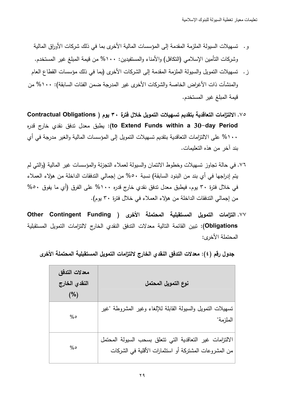- و . تسهيلات السيولة الملزمة المقدمة إلى المؤسسات المالية الأخرى بما في ذلك شركات الأوراق المالية وشركات النامين الإسلامي (النكافل) والأمناء والمستفيدين: ١٠٠% من قيمة المبلغ غير المستخدم.
- ز . تسهيلات النمويل والسيولة الملزمة المقدمة إلى الشركات الأخرى (بما في ذلك مؤسسات القطاع العام والمنشات ذات الأغراض الخاصة والشركات الأخرى غير المدرجة ضمن الفئات السابقة): ١٠٠% من قيمة المبلغ غير المستخدم.
- ٧٥. الالتزامات التعاقدية بتقديم تسهيلات التمويل خلال فترة ٣٠ يوم ( Contractual Obligations لارم بطبق معدل تدفق نقدي خارج قدره: (to Extend Funds within a 30–day Period ١٠٠% على الالتزامات التعاقدية بتقديم تسهيلات التمويل إلى المؤسسات المالية والغير مدرجة في أي بند آخر من هذه التعليمات.
- ٧٦. في حالة تجاوز تسهيلات وخطوط الائتمان والسيولة لعملاء التجزئة والمؤسسات غير المالية (والتي لم يتم إدراجها في أي بند من البنود السابقة) نسبة ٥٠% من إجمالي التدفقات الداخلة من هؤلاء العملاء في خلال فترة ٣٠ يوم، فيطبق معدل تدفق نقدي خارج قدره ١٠٠% على الفرق (أي ما يفوق ٥٠% من إجمالي الندفقات الداخلة من هؤلاء العملاء في خلال فترة ٣٠ يوم).
- ٧٧. التزامات التمويل المستقبلية المحتملة الأخرى ( Other Contingent Funding Obligations): تبين القائمة التالية معدلات الندفق النقدي الخارج لالتزامات النمويل المستقبلية المحتملة الأخرى:

جدول رقم (٤): معدلات التدفق النقدي الخارج لالتزامات التمويل المستقبلية المحتملة الأخرى

| معدلات التدفق<br>النقدي الخارج<br>(%) | نوع التمويل المحتمل                                                                                               |
|---------------------------------------|-------------------------------------------------------------------------------------------------------------------|
| %                                     | نسهيلات النمويل والسيولة القابلة للإلغاء وغير المشروطة "غير<br>الملزمة"                                           |
| %                                     | الالتزامات غير التعاقدية التي نتعلق بسحب السيولة المحتمل<br>من المشروعات المشتركة أو استثمارات الأقلية في الشركات |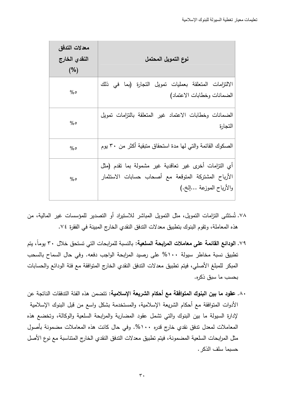| معدلات التدفق<br>النقدي الخارج<br>(%) | نوع التمويل المحتمل                                                                                                                     |
|---------------------------------------|-----------------------------------------------------------------------------------------------------------------------------------------|
| %                                     | الالتزامات المتعلقة بعمليات تمويل التجارة (بما في ذلك<br>الضمانات وخطابات الاعتماد)                                                     |
| %                                     | الضمانات وخطابات الاعتماد غير المتعلقة بالنزامات تمويل<br>التجارة                                                                       |
| %                                     | الصكوك القائمة والتي لها مدة استحقاق متبقية أكثر من ٣٠ يوم                                                                              |
| %                                     | أي النزامات أخرى غير تعاقدية غير مشمولة بما نقدم (مثل<br>الأرباح المشتركة المتوقعة مع أصحاب حسابات الاستثمار<br>والأرباح الموزعة …إلخ.) |

- ٧٨. تُستثنى التزامات التمويل، مثل التمويل المباشر للاستيراد أو التصدير للمؤسسات غير المالية، من هذه المعاملة، وتقوم البنوك بتطبيق معدلات الندفق النقدي الخارج المبينة في الفقرة ٧٤.
- ٧٩. الودائع القائمة على معاملات المرابحة السلعية: بالنسبة للمرابحات التي تستحق خلال ٣٠ يوماً، يتم تطبيق نسبة مخاطر سيولة ١٠٠% على رصيد المرابحة الواجب دفعه. وفي حال السماح بالسحب المبكر للمبلغ الأصلي، فيتم تطبيق معدلات الندفق النقدي الخارج المتوافقة مع فئة الودائع والحسابات بحسب ما سبق ذكره.
- ٨٠. عقود ما بين البنوك المتوافقة مع أحكام الشريعة الإسلامية: تتضمن هذه الفئة التدفقات الناتجة عن الأدوات المتوافقة مع أحكام الشريعة الإسلامية، والمستخدمة بشكل واسع من قبل البنوك الإسلامية لإدارة السيولة ما بين البنوك والتي تشمل عقود المضاربة والمرابحة السلعية والوكالة، وتخضع هذه المعاملات لمعدل ندفق نقدى خارج قدره ١٠٠%. وفي حال كانت هذه المعاملات مضمونة بأصول مثِّل المرابحات السلعية المضمونة، فيتم تطبيق معدلات الندفق النقدي الخارج المتناسبة مع نوع الأصل حسيما سلف الذكر .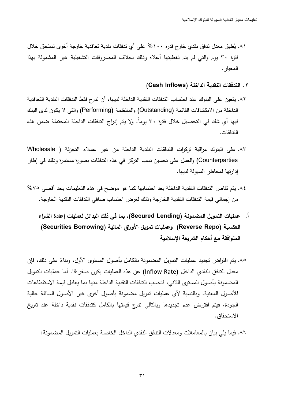- ۸۱. يُطبق معدل تدفق نقدي خارج قدره ۱۰۰% على أي تدفقات نقدية تعاقدية خارجة أخرى تستحق خلال فترة ٣٠ يوم والتي لم يتم تغطيتها أعلاه وذلك بخلاف المصروفات التشغيلية غير المشمولة بهذا المعبار .
	- ٢. التدفقات النقدية الداخلة (Cash Inflows)
- ٨٢. يتعين على البنوك عند احتساب الندفقات النقدية الداخلة لديها، أن تدرج فقط التدفقات النقدية التعاقدية الداخلة من الانكشافات القائمة (Outstanding) والمنتظمة (Performing) والتي لا يكون لدى البنك فيها أي شك في التحصيل خلال فترة ٣٠ يوما. ولا يتم إدراج التدفقات الداخلة المحتملة ضمن هذه التدفقات.
- ٨٣. على البنوك مراقبة تركزات التدفقات النقدية الداخلة من غير عملاء التجزئة ( Wholesale Counterparties) والعمل على تحسين نسب التركز في هذه التدفقات بصورة مستمرة وذلك في إطار إدارتها لمخاطر السيولة لديها.
- ٨٤. يتم تقاص التدفقات النقدية الداخلة بعد احتسابها كما هو موضح في هذه التعليمات بحد أقصى ٧٥% من إجمالي قيمة التدفقات النقدية الخارجة وذلك لغرض احتساب صافي التدفقات النقدية الخارجة.
	- أ . عمليات التمويل المضمونـة (Secured Lending)، بما في ذلك البدائل لع*م*ليات إعادة الشراء العكسية (Reverse Repo) وعمليات تمويل الأوراق المالية (Securities Borrowing) المتوافقة مع أحكام الشريعة الإسلامية
- ٨٥. يتم افتراض تجديد عمليات التمويل المضمونة بالكامل باصول المستوى الأول، وبناءً على ذلك، فإن معدل الندفق النقدي الداخل (Inflow Rate) عن هذه العمليات يكون صفر %. أما عمليات التمويل المضمونة بأصول المستوى الثاني، فتحسب التدفقات النقدية الداخلة منها بما يعادل قيمة الاستقطاعات للأصول المعنية. وبالنسبة لأي عمليات نمويل مضمونة بأصول أخرى غير الأصول السائلة عالية الجودة، فيتم افتراض عدم تجديدها وبالتالي تدرج قيمتها بالكامل كتدفقات نقدية داخلة عند تاريخ الاستحقاق.

٨٦. فيما يلي بيان بالمعاملات ومعدلات الندفق النقدي الداخل الخاصة بعمليات التمويل المضمونة: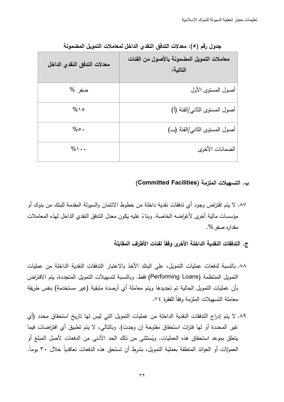| معدلات التدفق النقدي الداخل | معاملات التمويل المضمونة بالأصول من الفئات<br>التالية: |
|-----------------------------|--------------------------------------------------------|
| صفر %                       | أصول المستوى الأول                                     |
| $%$ 1 0                     | أصول المستوى الثاني/الفئة (أ)                          |
| $% \circ$ .                 | أصول المستوى الثاني/الفئة (ب)                          |
| $%$ \ $\cdot$               | الضمانات الأخرى                                        |

جدول رقم (٥): معدلات التدفق النقدي الداخل لمعاملات التمويل المضمونة

ب. التسهيلات الملزمة (Committed Facilities)

٨٧. لا يتم افتراض وجود أي تدفقات نقدية داخلة من خطوط الائتمان والسيولة المقدمة للبنك من بنوك أو مؤسسات مالية أخرى لأغراضه الخاصة. وبناءً عليه يكون معدل الندفق النقدى الداخل لهذه المعاملات مقداره صغر %.

ج. التدفقات النقدية الداخلة الأخرى وفقاً لفئات الأطراف المقابلة

- ٨٨. بالنسبة لدفعات عمليات التمويل، على البنك الأخذ بالاعتبار الندفقات النقدية الداخلة من عمليات التمويل المنتظمة (Performing Loans) فقط. وبالنسبة لتسهيلات التمويل المتجددة، يتم الافتراض بأن عمليات النمويل الحالية تم تجديدها ويتم معاملة أى أرصدة متبقية (غير مستخدمة) بنفس طريقة معاملة التسهبلات الملزمة وفقاً للفقرة ٧٤.
- ٨٩. لا يتم إدراج التدفقات النقدية الداخلة من عمليات التمويل التي ليس لها تاريخ استحقاق محدد (أي غير المحددة أو لها فترات استحقاق مفتوحة إن وجدت). وبالتالي، لا يتم تطبيق أي افتراضات فيما يتعلَّق بموعد استحقاق هذه العمليات. ويُستثنى من ذلك الحد الأدنى من الدفعات لأصل المبلغ أو العمولات أو العوائد المتعلقة بعملية التمويل، بشرط أن تستحق هذه الدفعات تعاقدياً خلال ٣٠ يوماً.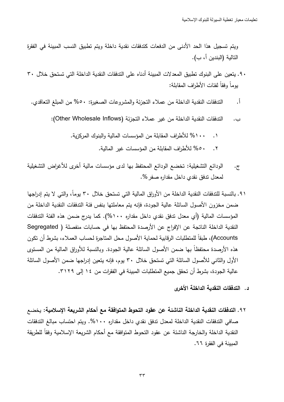ويتم تسجيل هذا الحد الأدنى من الدفعات كتدفقات نقدية داخلة ويتم تطبيق النسب المبينة في الفقرة التالية (البندين أ، ب).

- ٩٠. يتعين على البنوك تطبيق المعدلات المبينة أدناه على التدفقات النقدية الداخلة التي تستحق خلال ٣٠ يوماً وفقاً لفئات الأطراف المقابلة:
	- $\cdot$ التدفقات النقدية الداخلة من عملاء النجزئة والمشروعات الصغيرة: ٥٠% من المبلغ النعاقدي.
		- الندفقات النقدية الداخلة من غير عملاء التجزئة (Other Wholesale Inflows): ب.
			- ١٠٠% للأطراف المقابلة من المؤسسات المالية والبنوك المركزية.  $\cdot$ 
				- 00% للأطراف المقابلة من المؤسسات غير المالية.  $\cdot^{\mathsf{Y}}$
- الودائع التشغيلية: تخضع الودائع المحتفظ بها لدى مؤسسات مالية أخرى للأغراض التشغيلية  $\cdot \overline{C}$ لمعدل ندفق نقدي داخل مقداره صفر %.
- ٩١. بالنسبة للتدفقات النقدية الداخلة من الأوراق المالية التي تستحق خلال ٣٠ يوماً، والتي لا يتم إدراجها ضمن مخزون الأصول السائلة عالية الجودة، فإنه يتم معاملتها بنفس فئة الندفقات النقدية الداخلة من المؤسسات المالية (أي معدل تدفق نقدي داخل مقداره ١٠٠%). كما يدرج ضمن هذه الفئة التدفقات النقدية الداخلة الناتجة عن الإفراج عن الأرصدة المحتفظ بها في حسابات منفصلة ( Segregated Accounts)، طبقاً للمنطلبات الرقابية لحماية الأصول محل المناجرة لحساب العملاء، بشرط أن نكون هذه الأرصدة محتفظاً بها ضمن الأصول السائلة عالية الجودة. وبالنسبة للأوراق المالية من المستوى الأول والثاني للأصول السائلة التي تستحق خلال ٣٠ يوم، فإنه يتعين إدراجها ضمن الأصول السائلة عالية الجودة، بشرط أن تحقق جميع المتطلبات المبينة في الفقرات من ١٤ إلى ٣١٢٩.
	- د. التدفقات النقدية الداخلة الأخرى
- ٩٢. التدفقات النقدية الداخلة الناشئة عن عقود التحوط المتوافقة مع أحكام الشريعة الإسلامية: يخضع صافي التدفقات النقدية الداخلة لمعدل تدفق نقدى داخل مقداره ١٠٠%. ويتم احتساب مبالغ التدفقات النقدية الداخلة والخارجة الناشئة عن عقود النحوط المتوافقة مع أحكام الشريعة الإسلامية وفقاً للطريقة المبينة في الفقرة ٦٦.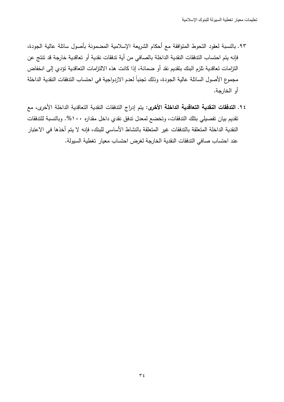- ٩٣. بالنسبة لعقود التحوط المتوافقة مع أحكام الشريعة الإسلامية المضمونة بأصول سائلة عالية الجودة، فإنه يتم احتساب التدفقات النقدية الداخلة بالصافي من أية تدفقات نقدية أو تعاقدية خارجة قد تتتج عن النزامات تعاقدية تلزم البنك بتقديم نقد أو ضمانة، إذا كانت هذه الالتزامات التعاقدية تؤدي إلى انخفاض مجموع الأصول السائلة عالية الجودة، وذلك تجنبا لعدم الازدواجية في احتساب التدفقات النقدية الداخلة أو الخارجة.
- ٩٤. ا**لتدفقات النقدية التعاقدية الداخلة الأخرى:** يتم إدراج التدفقات النقدية التعاقدية الداخلة الأخرى، مع تقديم بيان تفصيلي بتلك التدفقات، وتخضـع لمعدل تدفق نقدي داخل مقداره ١٠٠%. وبالنسبة للتدفقات النقدية الداخلة المتعلقة بالندفقات غير المتعلقة بالنشاط الأساسي للبنك، فإنه لا يتم أخذها في الاعتبار عند احتساب صـافي الندفقات النقدية الخارجة لغرض احتساب معيار تغطية السيولة.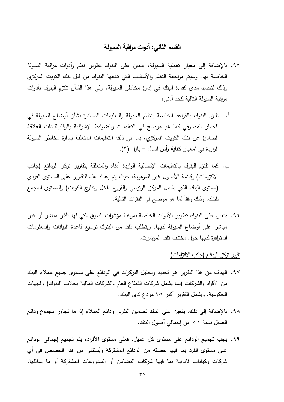## القسم الثانى: أدوات مراقبة السيولة

- ٩٥. بالإضافة إلى معيار تغطية السيولة، يتعين على البنوك تطوير نظم وأدوات مراقبة السيولة الخاصة بها. وسيتم مراجعة النظم والأساليب التي نتبعها البنوك من قبل بنك الكويت المركزي وذلك لتحديد مدى كفاءة البنك في إدارة مخاطر السيولة. وفي هذا الشأن تلتزم البنوك بأدوات مراقبة السيولة التالية كحد أدني:
- تلتزم البنوك بالقواعد الخاصة بنظام السبولة والتعليمات الصادرة بشأن أوضاع السيولة في  $\cdot$ . الجهاز المصرفي كما هو موضح في التعليمات والضوابط الإشرافية والرقابية ذات العلاقة الصادرة عن بنك الكويت المركزي، بما في ذلك التعليمات المتعلقة بإدارة مخاطر السيولة الواردة في "معيار كفاية رأس المال – بازل (٣).
- ب. كما تلتزم البنوك بالتعليمات الإضافية الواردة أدناه والمتعلقة بتقارير تركز الودائع (جانب الالتزامات) وقائمة الأصول غير المرهونة، حيث يتم إعداد هذه التقارير على المستوى الفردي (مستوى البنك الذي يشمل المركز الرئيسي والفروع داخل وخارج الكويت) والمستوى المجمع للبنك، وذلك وفقاً لما هو موضح في الفقرات النالية.
- ٩٦. يتعين على البنوك نطوير الأدوات الخاصة بمراقبة مؤشرات السوق التي لها تأثير مباشر أو غير مباشر على أوضاع السيولة لديها. ويتطلب ذلك من البنوك نوسيع قاعدة البيانات والمعلومات المنوافرة لديها حول مختلف نلك المؤشرات.

### نقرير نركز الودائع (جانب الالنزامات)

- ٩٧. الهدف من هذا النقرير هو تحديد وتحليل التركزات في الودائع على مستوى جميع عملاء البنك من الأفراد والشركات (بما يشمل شركات القطاع العام والشركات المالية بخلاف البنوك) والجهات الحكومية. ويشمل النقرير أكبر ٢٥ مودع لدى البنك.
- ٩٨. بالإضافة إلى ذلك، يتعين على البنك نضمين النقرير ودائع العملاء إذا ما نجاوز مجموع ودائع العميل نسبة ٥% من إجمالي أصول البنك.
- ٩٩. يجب تجميع الودائع على مستوى كل عميل. فعلى مستوى الأفراد، يتم تجميع إجمالي الودائع على مستوى الفرد بما فيها حصنه من الودائع المشتركة ويُستثنى من هذا الحصص في أي شركات وكيانات قانونية بما فيها شركات التضامن أو المشروعات المشتركة أو ما يماثلها.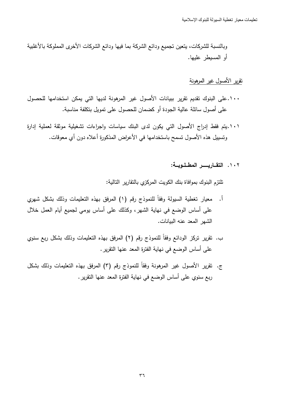وبالنسبة للشركات، بنعين تجميع ودائع الشركة بما فيها ودائع الشركات الأخرى المملوكة بالأغلبية أو المسيطر عليها.

#### <u>نقرير الأصول غير المرهونة</u>

- ۱۰۰.على البنوك نقديم نقرير ببيانات الأصول غير المرهونة لديها التي يمكن استخدامها للحصول على أصول سائلة عالية الجودة أو كضمان للحصول على تمويل بتكلفة مناسبة.
- ١٠١.يتم فقط إدراج الأصول التي يكون لدى البنك سياسات واجراءات تشغيلية موثقة لعملية إدارة ونسييل هذه الأصول تسمح باستخدامها في الأعراض المذكورة أعلاه دون أي معوفات.

#### : %  .(Q\*

تلتزم البنوك بموافاة بنك الكويت المركزي بالنقارير التالية:

- أ. معيار تغطية السيولة وفقاً للنموذج رقم (١) المرفق بهذه النعليمات وذلك بشكل شهري على أساس الوضع في نهاية الشهر، وكذلك على أساس يومي لجميع أيام العمل خلال الشهر المعد عنه البيانات.
- ب. تقرير تركز الودائع وفقاً للنموذج رقم (٢) المرفق بهذه التعليمات وذلك بشكل ربع سنوى على أساس الوضـع في نـهايـة الفترة المعد عنـها النقرير .
- ج. نقرير الأصول غير المرهونة وفقا للنموذج رقم (٣) المرفق بهذه التعليمات وذلك بشكل ربع سنوي على أساس الوضىع في نهاية الفترة المعد عنها النقرير .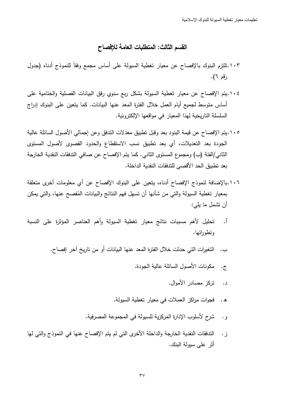## القسم الثالث: المتطلبات العامة للإفصاح

- ١٠٣.نلتزم البنوك بالإفصاح عن معيار تغطية السيولة على أساس مجمع وفقا للنموذج أدناه (جدول رقم ٦).
- ١٠٤.يتم الإفصاح عن معيار تغطية السيولة بشكل ربع سنوي رفق البيانات الفصلية والختامية على أساس متوسط لجميع أيام العمل خلال الفترة المعد عنها البيانات. كما يتعين على البنوك إدراج السلسلة التاريخية لهذا المعيار في مواقعها الإلكترونية.
- ١٠٥.يتم الإفصاح عن قيمة البنود بعد وقبل تطبيق معدلات التدفق وعن إجمالي الأصول السائلة عالية الجودة بعد التعديلات، أي بعد تطبيق نسب الاستقطاع والحدود القصوى لأصول المستوى الثاني/الفئة (ب) ومجموع المستوى الثاني. كما يتم الإفصاح عن صافي التدفقات النقدية الخارجة بعد تطبيق الحد الأقصى للتدفقات النقدية الداخلة.
- ١٠٦.بالإضافة لنموذج الإفصاح أدناه، يتعين على البنوك الإفصاح عن أي معلومات أخرى متعلقة بمعيار تغطية السيولة والتي من شانها أن تسهل فهم النتائج والبيانات المُفصح عنها، والتي يمكن أن نشمل ما بلبي:
- ا. تحليل لأهم مسببات نتائج معيار تغطية السيولة وأهم العناصر المؤثرة على النسبة وتطوراتها.
	- ب. النغيرات التي حدثت خلال الفترة المعد عنها البيانات أو من ناريخ آخر إفصاح.
		- ج. مكونات الأصول السائلة عالية الجودة.
			- د. تركز مصادر الأموال.
		- ه . فجوات مراكز العملات في معيار تغطية السيولة.
		- و . شرح لأسلوب الإدارة المركزية للسيولة في المجموعة المصرفية.
- ز . التدفقات النقدية الخارجة والداخلة الأخرى التي لم يتم الإفصاح عنها في النموذج والتي لها أثر على سيولة البنك.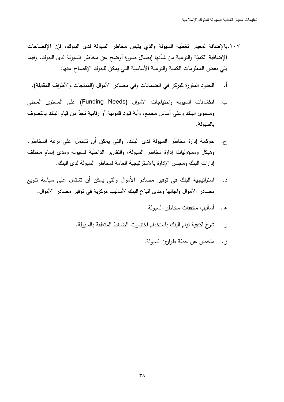- ١٠٧.بالإضافة لمعبار تغطبة السبولة والذي بقبس مخاطر السبولة لدى البنوك، فإن الإفصاحات الإضافية الكميّة والنوعية من شأنها إيصال صورةٍ أوضح عن مخاطر السيولة لدى البنوك. وفيما يلي بعض المعلومات الكمية والنوعية الأساسية التي يمكن للبنوك الإفصاح عنها:
	- الحدود المقررة للتركز في الضمانات وفي مصادر الأموال (المنتجات والأطراف المقابلة). أ.
- ب. انكشافات السبولة واحتياجات الأموال (Funding Needs) على المستوى المحلي ومستوى البنك وعلى أساس مجمع، وأية قيود قانونية أو رقابية تحدّ من قيام البنك بالتصرف بالسبولة.
- حوكمة إدارة مخاطر السيولة لدى البنك، والتي يمكن أن تشتمل على نزعة المخاطر،  $\cdot$   $\tau$ وهيكل ومسؤوليات إدارة مخاطر السيولة، والتقارير الداخلية للسيولة ومدى إلمام مختلف إدارات البنك ومجلس الإدارة بالاستراتيجية العامة لمخاطر السيولة لدى البنك.
- استراتيجية البنك في توفير مصادر الأموال والتي يمكن أن تشتمل على سياسة تتويع د. مصادر الأموال وأجالها ومدى انباع البنك لأساليب مركزية في نوفير مصادر الأموال.
	- ه. أساليب مخففات مخاطر السبولة.
	- شرح لكيفية قيام البنك باستخدام اختبارات الضغط المتعلقة بالسيولة. و .
		- ز . ملخص عن خطة طوارئ السيولة.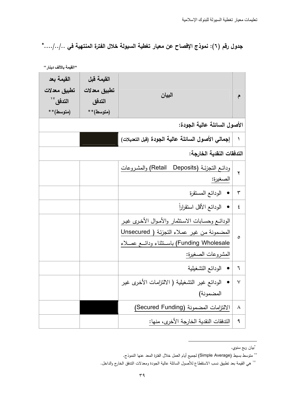جدول رقم (٦): نموذج الإفصاح عن معيار تغطية السيولة خلال الفترة المنتهية في ../../....\*

| القيمة بعد<br>تطبيق معدلات<br>التدفق ``<br>(متوسط)** | القيمة قبل<br>تطبيق معدلات<br>التدفق<br>(متوسط)** | البيان                                                                                                                                                        | م            |
|------------------------------------------------------|---------------------------------------------------|---------------------------------------------------------------------------------------------------------------------------------------------------------------|--------------|
|                                                      |                                                   | الأصول السائلة عالية الجودة:                                                                                                                                  |              |
|                                                      |                                                   | إجمالي الأصول السائلة عالية الجودة (قبل التعديلات)                                                                                                            | $\lambda$    |
|                                                      |                                                   | التدفقات النقدية الخارجة:                                                                                                                                     |              |
|                                                      |                                                   | ودائع النجزئـة (Retail Deposits) والمشروعات<br>الصغيرة:                                                                                                       | $\mathbf{r}$ |
|                                                      |                                                   | • الودائع المستقرة                                                                                                                                            | ٣            |
|                                                      |                                                   | الودائع الأقل استقراراً<br>$\bullet$                                                                                                                          | ٤            |
|                                                      |                                                   | الودائع وحسابات الاستثمار والأموال الأخرى غير<br>المضمونة من غير عملاء التجزئة ( Unsecured<br>Funding Wholesale) باستثناء ودائسع عصـلاء<br>المشروعات الصغيرة: | $\circ$      |
|                                                      |                                                   | الودائع التشغيلية<br>$\bullet$                                                                                                                                | ٦            |
|                                                      |                                                   | الودائع غير التشغيلية ( الالتزامات الأخرى غير<br>المضمونة)                                                                                                    | ٧            |
|                                                      |                                                   | الالتزامات المضمونة (Secured Funding)                                                                                                                         | ٨            |
|                                                      |                                                   | الندفقات النقدية الخارجة الأخرى، منها:                                                                                                                        | ٩            |

<sup>\*</sup>بيان ربع سنوي.

<sup>\*\*</sup> متوسط بسيط (Simple Average) لجميع أيام العمل خلال الفترة المعد عنها النموذج.

<sup>&</sup>lt;sup>١٧</sup> هي القيمة بعد تطبيق نسب الاستقطاع للأصول السائلة عالية الجودة ومعدلات التدفق الخارج والداخل.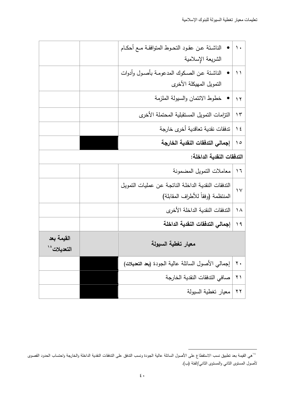|                           |  | الناشئة عن عقود التحوط المتوافقة مـع أحكـام        | ۱.             |
|---------------------------|--|----------------------------------------------------|----------------|
|                           |  | الشريعة الإسلامية                                  |                |
|                           |  | الناشئة عن الصكوك المدعومة بأصول وأدوات            | $\setminus$    |
|                           |  | التمويل المهيكلة الأخرى                            |                |
|                           |  | خطوط الائتمان والسبولة الملزمة                     | $\gamma$       |
|                           |  | التزامات النمويل المستقبلية المحتملة الأخرى        | $\gamma$       |
|                           |  | تدفقات نقدية تعاقدية أخرى خارجة                    | $\frac{1}{2}$  |
|                           |  | إجمالي التدفقات النقدية الخارجة                    | $\Delta$       |
| التدفقات النقدية الداخلة: |  |                                                    |                |
|                           |  | معاملات النمويل المضمونة                           | $\overline{1}$ |
|                           |  | التدفقات النقدية الداخلة الناتجة عن عمليات التمويل | $\vee$         |
|                           |  | المنتظمة (وفقاً للأطراف المقابلة)                  |                |
|                           |  | الندفقات النقدية الداخلة الأخرى                    | $\lambda$      |
|                           |  | إجمالي التدفقات النقدية الداخلة                    | $\eta$         |
| القيمة بعد<br>التعديلات^` |  | معيار تغطية السيولة                                |                |
|                           |  | إجمالي الأصول السائلة عالية الجودة (بعد التعديلات) | $\mathbf{r}$ . |
|                           |  |                                                    |                |
|                           |  | صافى الندفقات النقدية الخارجة                      | $\uparrow$ )   |

<sup>&</sup>lt;sup>١٨</sup>هي القيمة بعد تطبيق نسب الاستقطاع على الأصول السائلة عالية الجودة ونسب التدفق على التدفقات النقدية الداخلة والخارجة واحتساب الحدود القصوى لأصول المستوى الثاني والمستوى الثاني/الفئة (ب).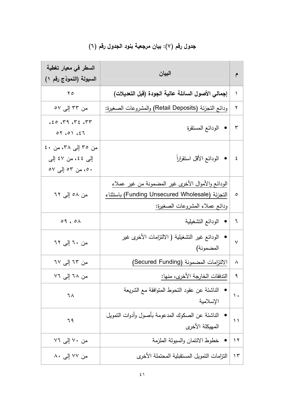# جدول رقم (٧): بيان مرجعية بنود الجدول رقم (٢)

| السطر ف <i>ي</i> معيار تغطية<br>السيولة (النموذج رقم ١)           | البيان                                                                                                                                | م             |
|-------------------------------------------------------------------|---------------------------------------------------------------------------------------------------------------------------------------|---------------|
| $\mathsf{Y}\circ$                                                 | إجمالي الأصول السائلة عالية الجودة (قبل التعديلات)                                                                                    | ١             |
| من ۳۳ إلى ٥٧                                                      | ودائع التجزئة (Retail Deposits) والمشروعات الصغيرة:                                                                                   | ٢             |
| 650.79.72.77<br>07,01,57                                          | • الودائع المستقرة                                                                                                                    | $\mathbf{r}$  |
| من ٣٥ إلىي ٣٨، من ٤٠<br>إِلَى ٤٤، من ٤٧ إِلَى<br>٥٠، من ٥٣ إلى ٥٧ | الودائع الأقل استقراراً                                                                                                               | ٤             |
| من ٥٨ إلى ٦٢                                                      | الودائع والأموال الأخرى غير المضمونة من غير عملاء<br>التجزئة (Funding Unsecured Wholesale) باستثناء<br>ودائع عملاء المشروعات الصغيرة: | ٥             |
| 09,01                                                             | الودائع التشغيلية                                                                                                                     | ٦             |
| من ٦٠ إلى ٦٢                                                      | الودائع غير التشغيلية ( الالتزامات الأخرى غير<br>المضمونة)                                                                            | $\checkmark$  |
| من ٦٣ إلى ٦٧                                                      | الالتزامات المضمونة (Secured Funding)                                                                                                 | ٨             |
| من ٦٨ إلى ٧٦                                                      | الندفقات الخارجة الأخرى، منها:                                                                                                        | ٩             |
| ٦A                                                                | الناشئة عن عقود التحوط المتوافقة مع الشريعة<br>الإسلامية                                                                              | $\mathcal{L}$ |
| ٦٩                                                                | الناشئة عن الصكوك المدعومة بأصول وأدوات التمويل<br>المهيكلة الأخرى                                                                    | ۱۱            |
| من ۷۰ إلى ۷٦                                                      | خطوط الائتمان والسبولة الملزمة                                                                                                        | $\gamma$      |
| من ٧٧ إلى ٨٠                                                      | التزامات النمويل المستقبلية المحتملة الأخرى                                                                                           | $\gamma$      |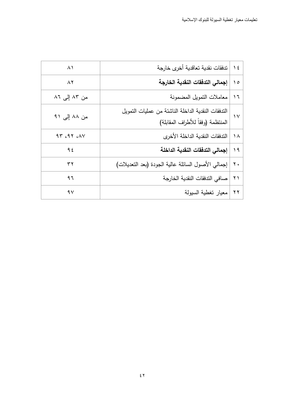| $\wedge$     | ندفقات نقدية تعاقدية أخرى خارجة                                                         | $\frac{1}{2}$  |
|--------------|-----------------------------------------------------------------------------------------|----------------|
| $\wedge$     | إجمالي التدفقات النقدية الخارجة                                                         | $\Omega$       |
| من ۸۳ إلى ۸٦ | معاملات النمويل المضمونة                                                                | 17             |
| من ۸۸ إلى ۹۱ | الندفقات النقدية الداخلة الناشئة من عمليات النمويل<br>المنتظمة (وفقاً للأطراف المقابلة) | $\vee$         |
| 97.97.1      | الندفقات النقدية الداخلة الأخرى                                                         | ۱۸             |
| 95           | إجمالي التدفقات النقدية الداخلة                                                         | 19             |
| ۳۲           | إجمالي الأصول السائلة عالية الجودة (بعد التعديلات)                                      | $\mathbf{y}$ . |
| ۹٦           | صافي الندفقات النقدية الخارجة                                                           | $\lambda$      |
| 9V           | معيار تغطية السيولة                                                                     | $\mathbf{y}$   |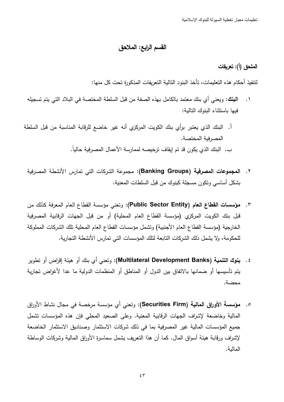تعليمات معبار تغطية السبولة للبنوك الاسلامية

### القسم الرابع: الملاحق

## الملحق (أ): تعريفات

لتنفيذ أحكام هذه التعليمات، تأخذ البنود النالية التعريفات المذكورة تحت كل منها:

- ا**لبِنك:** ويعني أي بنك معتمد بالكامل بهذه الصفة من قبل السلطة المختصة في البلاد التي يتم تسجيله  $\cdot$ فبها باستثناء البنوك التالبة:
- أ. البنك الذي يعتبر برأي بنك الكويت المركزي أنه غير خاضع للرقابة المناسبة من قبل السلطة المصرفية المختصبة. ب. البنك الذي يكون قد تم إيقاف ترخيصه لممارسة الأعمال المصرفية حالياً.
	- ٢. ا**لمجموعات المصرفية (Banking Groups):** مجموعة الشركات التي تمارس الأنشطة المصرفية بشكل أساسي وتكون مسجلة كبنوك من قبل السلطات المعنية.
	- ٣. مؤسسات القطاع العام (Public Sector Entity): ونعنى مؤسسة القطاع العام المعرفة كذلك من قبل بنك الكويت المركزي (مؤسسة القطاع العام المحلية) أو من قبل الجهات الرقابية المصرفية الخارجية (مؤسسة القطاع العام الأجنبية) وتشمل مؤسسات القطاع العام المحلية نلك الشركات المملوكة للحكومة، ولا يشمل ذلك الشركات التابعة لتلك المؤسسات التي تمارس الأنشطة التجارية.
	- ٤. بِنوك التنمية (Multilateral Development Banks): وتعني أي بنك أو هيئة إقراض أو تطوير يتم تأسيسها أو ضمانها بالاتفاق بين الدول أو المناطق أو المنظمات الدولية ما عدا لأغراض تجارية محضة.
	- 0. مؤسسة الأوراق المالية (Securities Firm): وتعني أي مؤسسة مرخصة في مجال نشاط الأوراق المالية وخاضعة لإشراف الجهات الرقابية المعنية. وعلى الصعيد المحلي فإن هذه المؤسسات تشمل جميع المؤسسات المالية غير المصرفية بما في ذلك شركات الاستثمار وصناديق الاستثمار الخاضعة لإشراف ورقابة هيئة أسواق المال. كما أن هذا النعريف بشمل سماسرة الأوراق المالية وشركات الوساطة المالبة.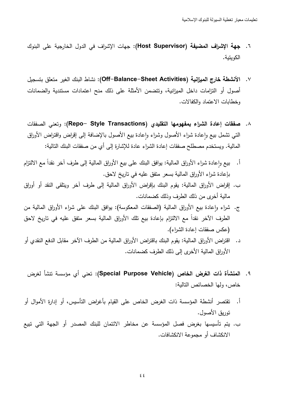- ٦. جهة الإشراف المضيفة (Host Supervisor): جهات الإشراف في الدول الخارجية على البنوك الكويتية.
- ٧. الأنشطة خارج الميزانية (Off–Balance–Sheet Activities): نشاط البنك الغير متعلق بتسجيل أصول أو التزامات داخل الميزانية، ونتضمن الأمثلة على ذلك منح اعتمادات مستندية والضمانات وخطابات الاعتماد والكفالات.
- ٨. صفقات إعادة الشراء بمفهومها التقليدي (Repo– Style Transactions): وتعني الصفقات التـي تشمل بيـع وإعادة شراء الأصـول وشراء وإعادة بيـع الأصـول بالإضـافـة إلـى إقراض واقتراض الأوراق المالية. ويستخدم مصطلح صفقات إعادة الشراء عادة للإشارة إلى أي من صفقات البنك التالية:
- أ. بيع وإعادة شراء الأوراق المالية: بوافق البنك على بيع الأوراق المالية إلى طرف أخر نقداً مع الالنزام بإعادة شراء الأوراق المالية بسعر متفق عليه في تاريخ لاحق.
- ب. إقراض الأوراق المالية: يقوم البنك بإقراض الأوراق المالية إلى طرف آخر ويتلقى النقد أو أوراق مالية أخرى من ذلك الطرف وذلك كضمانات.
- ج. شراء وإعادة بيع الأوراق المالية (الصفقات المعكوسة): بوافق البنك على شراء الأوراق المالية من الطرف الآخر نقدا مع الالتزام بإعادة بيع نلك الأوراق المالية بسعر متفق عليه في تاريخ لاحق (عكس صفقات إعادة الشراء).
- د. اقتراض الأوراق المالية: يقوم البنك باقتراض الأوراق المالية من الطرف الآخر مقابل الدفع النقدي أو الأوراق المالية الأخرى إلى ذلك الطرف كضمانات.
	- ٩. المنشأة ذات الغرض الخاص (Special Purpose Vehicle): تعني أي مؤسسة تتشأ لغرض خاص، ولمها الخصائص النالية:
- أ. نقتصر أنشطة المؤسسة ذات الغرض الخاص على القيام بأغراض التأسيس، أو إدارة الأموال أو توريق الأصول.
- ب. يتم تأسيسها بغرض فصل المؤسسة عن مخاطر الائتمان للبنك المصدر أو الجهة التي تبيع الانكشاف أو مجموعة الانكشافات.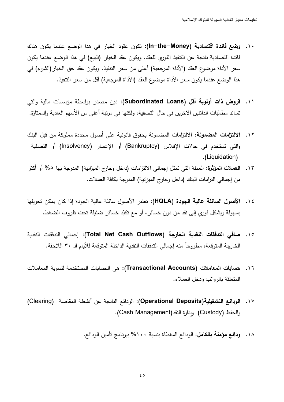- ١٠. وضع فائدة اقتصادية (In–the–Money): تكون عقود الخيار في هذا الوضع عندما يكون هناك فائدة اقتصادية ناتجة عن التتفيذ الفوري للعقد. ويكون عقد الخيار (البيع) في هذا الوضع عندما يكون سعر الأداة موضوع العقد (الأداة المرجعية) أعلى من سعر النتفيذ. ويكون عقد حق الخيار(الشراء) في هذا الوضع عندما يكون سعر الأداة موضوع العقد (الأداة المرجعية) أقل من سعر النتفيذ.
- ١١. فروض ذات أولوية أقل (Subordinated Loans): دين مصدر بواسطة مؤسسات مالية والتي تساند مطالبات الدائنين الآخرين في حال التصفية، ولكنها في مرتبة أعلى من الأسهم العادية والممتازة.
- ١٢. الالتزامات المضمونة: الالتزامات المضمونة بحقوق قانونية على أصول محددة مملوكة من قبل البنك والتي تستخدم في حالات الإفلاس (Bankruptcy) أو الإعسار (Insolvency) أو التصفية .(Liquidation).
- ١٣. العملات المؤثرة: العملة التي تمثل إجمالي الالتزامات (داخل وخارج الميزانية) المدرجة بها ٥% أو أكثر من إجمالي النزامات البنك (داخل وخارج الميزانية) المدرجة بكافة العملات.
- ١٤. الأصول السائلة عالية الجودة (HQLA): تعتبر الأصول سائلة عالية الجودة إذا كان يمكن تحويلها بسهولة وبشكل فوري إلى نقد من دون خسائر ، أو مع نكبّد خسائر ضئيلة تحت ظروف الضغط.
- ١٥. صافي التدفقات النقدية الخارجة (Total Net Cash Outflows): إجمالي التدفقات النقدية الخارجة المتوقعة، مطروحاً منه إجمالي التدفقات النقدية الداخلة المتوقعة للأيام الـ ٣٠ اللاحقة.
- ١٦. حسابات المعاملات (Transactional Accounts): هي الحسابات المستخدمة لتسوية المعاملات المتعلقة بالروانب ودخل العملاء.
- ١٧. الودائع التشغيلية(Operational Deposits): الودائع الناتجة عن أنشطة المقاصة (Clearing) والحفظ (Custody) وإدارة النقد(Cash Management).
	- ١٨. ودائع مؤمنة بالكامل: الودائع المغطاة بنسبة ١٠٠% ببرنامج تأمين الودائع.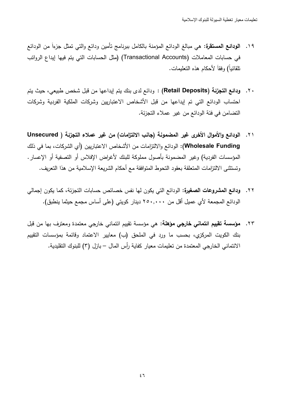- ١٩. ا**لودائع المستقرة**: هي مبالغ الودائع المؤمنة بالكامل ببرنامج تأمين ودائع والتي تمثل جزءاً من الودائع في حسابات المعاملات (Transactional Accounts) (مثل الحسابات التي يتم فيها إيداع الروانب نلقائياً) وفقاً لأحكام هذه النعليمات.
- ٢٠. ودائع التجزئة (Retail Deposits) : ودائع لدى بنك يتم إيداعها من قبل شخص طبيعي، حيث يتم احتساب الودائع التي تم إيداعها من قبل الأشخاص الاعتباريين وشركات الملكية الفردية وشركات التضامن في فئة الودائع من غير عملاء التجزئة.
- ٢١. الودائـع والأموال الأخرى غير المضمونـة (جانب الالتزامات) من غير عملاء التجزئـة ( Unsecured Wholesale Funding): الودائع والالتزامات من الأشخاص الاعتباريين (أي الشركات، بما في ذلك المؤسسات الفردية) وغير المضمونة بأصول مملوكة للبنك لأغراض الإفلاس أو التصفية أو الإعسار . وتستثني الالتزامات المتعلقة بعقود التحوط المتوافقة مع أحكام الشريعة الإسلامية من هذا التعريف.
- ٢٢. **ودائع المشروعات الصغيرة:** الودائع التي يكون لها نفس خصائص حسابات التجزئة، كما يكون إجمالي الودائـع المجمعة لأي عميل أقل من ٢٥٠,٠٠٠ دينار كويتي (على أساس مجمع حيثما ينطبق).
- ٢٣. **مؤسسة تقييم ائتماني خارجي مؤهلة**: هي مؤسسة تقييم ائتماني خارجي معتمدة ومعترف بها من قبل بنك الكويت المركزي، بحسب ما ورد في الملحق (ب) معايير الاعتماد وقائمة بمؤسسات التقييم الائتماني الخارجي المعتمدة من تعليمات معيار كفاية رأس المال – بازل (٣) للبنوك التقليدية.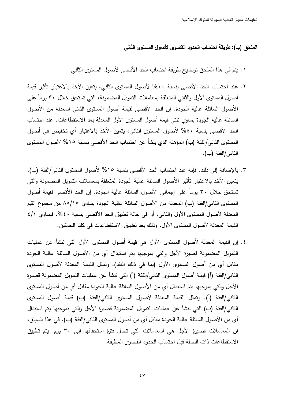الملحق (ب): طريقة احتساب الحدود القصوى لأصول المستوى الثاني

١. يتم في هذا الملحق توضيح طريقة احتساب الحد الأقصبي لأصول المستوى الثاني.

- ٢. عند احتساب الحد الأقصى بنسبة ٤٠% لأصول المستوى الثاني، يتعين الأخذ بالاعتبار تأثير قيمة أصول المستوى الأول والثاني المتعلقة بمعاملات التمويل المضمونة، التي تستحق خلال ٣٠ يوماً على الأصول السائلة عالية الجودة. إن الحد الأقصى لقيمة أصول المستوى الثاني المعدلة من الأصول السائلة عالية الجودة يساوي ثلثي قيمة أصول المستوى الأول المعدلة بعد الاستقطاعات. عند احتساب الحد الأقصبي بنسبة ٤٠% لأصول المستوى الثاني، يتعين الأخذ بالاعتبار أي تخفيض في أصول المستوى الثاني/الفئة (ب) المؤهلة الذي ينشأ عن احتساب الحد الأقصـي بنسبة ١٥% لأصـول المستوى الثاني/الفئة (ب).
- ٣. بالإضافة إلى ذلك، فإنه عند احتساب الحد الأقصىي بنسبة ١٥% لأصول المستوى الثاني/الفئة (ب)، يتعين الأخذ بالاعتبار نأثير الأصول السائلة عالية الجودة المتعلقة بمعاملات التمويل المضمونة والتي تستحق خلال ٣٠ يوماً على إجمالي الأصول السائلة عالية الجودة. إن الحد الأقصى لقيمة أصول المستوى الثاني/الفئة (ب) المعدلة من الأصول السائلة عالية الجودة يساوي ٨٥/١٥ من مجموع القيم المعدلة لأصول المستوى الأول والثاني، أو في حالة تطبيق الحد الأقصبي بنسبة ٤٠%، فيساوي ٤/١ القيمة المعدلة لأصول المستوى الأول، وذلك بعد نطبيق الاستقطاعات في كلتا الحالتين.
- ٤. إن القيمة المعدلة لأصول المستوى الأول هي قيمة أصول المستوى الأول التي نتشأ عن عمليات النمويل المضمونة قصيرة الأجل والتي بموجبها يتم استبدال أي من الأصول السائلة عالية الجودة مقابل أي من أصول المستوى الأول (بما في ذلك النقد). وتمثّل القيمة المعدلة لأصول المستوى الثاني/الفئة (أ) قيمة أصول المستوى الثاني/الفئة (أ) التي تتشأ عن عمليات التمويل المضمونة قصبرة الأجل والتي بموجبها يتم استبدال أي من الأصول السائلة عالية الجودة مقابل أي من أصول المستوى الثاني/الفئة (أ). وتمثّل القيمة المعدلة لأصول المستوى الثاني/الفئة (ب) قيمة أصول المستوى الثاني/الفئة (ب) التي نتشأ عن عمليات التمويل المضمونة قصيرة الأجل والتي بموجبها يتم استبدال أي من الأصول السائلة عالية الجودة مقابل أي من أصول المستوى الثاني/الفئة (ب). في هذا السياق، إن المعاملات قصبرة الأجل هي المعاملات التي تصل فترة استحقاقها إلى ٣٠ يوم. يتم تطبيق الاستقطاعات ذات الصلة قبل احتساب الحدود القصوى المطبقة.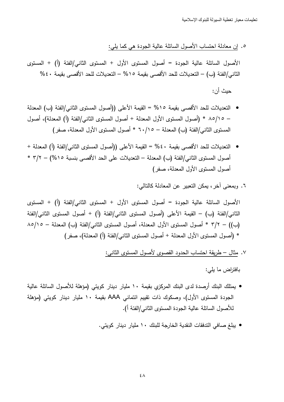0. إن معادلة احتساب الأصول السائلة عالية الجودة هي كما بلي:

الأصول السائلة عالية الجودة = أصول المستوى الأول + المستوى الثاني/الفئة (أ) + المستوى الثاني/الفئة (ب) – التعديلات للحد الأقصبي بقيمة ١٥% – التعديلات للحد الأقصبي بقيمة ٤٠% حنث أن:

- التعديلات للحد الأقصـى بقيمة ١٥% = القيمة الأعلى ((أصول المستوى الثاني/الفئة (ب) المعدلة – ٨٥/١٥ \* (أصول المستوى الأول المعدلة + أصول المستوى الثاني/الفئة (أ) المعدلة)، أصول المستوى الثاني/الفئة (ب) المعدلة – ٦٠/١٥ \* أصول المستوى الأول المعدلة، صفر)
- التعديلات للحد الأقصبي بقيمة ٤٠% = القيمة الأعلى ((أصول المستوى الثاني/الفئة (أ) المعدلة + أصول المستوى الثاني/الفئة (ب) المعدلة – التعديلات على الحد الأقصبي بنسبة ١٥%) – ٣/٢ \* أصول المستوى الأول المعدلة، صفر)
	- ٦. وبمعنى آخر ، بمكن النعبير عن المعادلة كالتالي:

الأصول السائلة عالية الجودة = أصول المستوى الأول + المستوى الثاني/الفئة (أ) + المستوى الثاني/الفئة (ب) – القيمة الأعلى (أصول المستوى الثاني/الفئة (أ) + أصول المستوى الثاني/الفئة (ب)) – ٣/٢ \* أصول المستوى الأول المعدلة، أصول المستوى الثاني/الفئة (ب) المعدلة – ٨٥/١٥ \* (أصول المستوى الأول المعدلة + أصول المستوى الثاني/الفئة (أ) المعدلة)، صفر)

٧. مثال – طريقة احتساب الحدود القصوى لأصول المستوى الثانـي:

بافتراض ما يلي:

- يمتلك البنك أرصدة لدى البنك المركزي بقيمة ١٠ مليار دينار كويتي (مؤهلة للأصول السائلة عالية الجودة المستوى الأول)، وصكوك ذات تقييم ائتماني AAA بقيمة ١٠ مليار دينار كويتي (مؤهلة للأصول السائلة عالية الجودة المستوى الثاني/الفئة أ).
	- يبلغ صافي التدفقات النقدية الخارجة للبنك ١٠ مليار دينار كويتي.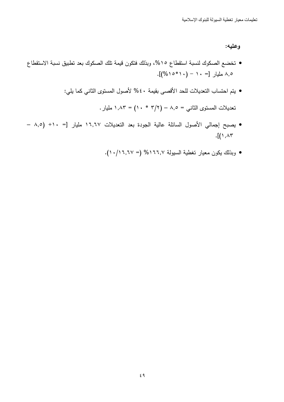وعليه:

- تخضع الصكوك لنسبة استقطاع ١٥%، وبذلك فتكون قيمة تلك الصكوك بعد تطبيق نسبة الاستقطاع ۰٫۵ مليار [= ۱۰ – (۴۱۰\*۱۵%)].
	- يتم احتساب التعديلات للحد الأقصـي بقيمة ٤٠% لأصـول المستوى الثاني كما يلي:

 $\lambda, \lambda \mathsf{r} = (\lambda \cdot * \mathsf{r}/\mathsf{r}) - \lambda, \circ = \mu$ تعديلات المستوى الثاني

- يصبح إجمالي الأصول السائلة عالية الجودة بعد التعديلات ١٦,٦٧ مليار [= ٨,٥ / ٨  $\cdot$ [(  $\wedge$  ,  $\wedge$   $\curlyvee$ 
	- وبذلك يكون معيار تغطية السيولة ١٦٦,٧% (= ١٠/١٦,٢٧).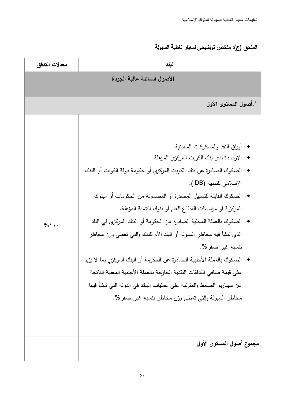# الملحق (ج): ملخص توضيحي لمعيار تغطية السيولة

| معدلات التدفق | البند                                                                                                                                                                                                                                                                                                                                                                                                                                                                                                                                                                                                                                                                                                                                                                          |  |  |
|---------------|--------------------------------------------------------------------------------------------------------------------------------------------------------------------------------------------------------------------------------------------------------------------------------------------------------------------------------------------------------------------------------------------------------------------------------------------------------------------------------------------------------------------------------------------------------------------------------------------------------------------------------------------------------------------------------------------------------------------------------------------------------------------------------|--|--|
|               | الأصول السائلة عالية الجودة                                                                                                                                                                                                                                                                                                                                                                                                                                                                                                                                                                                                                                                                                                                                                    |  |  |
|               | أ. أصول المستوى الأول                                                                                                                                                                                                                                                                                                                                                                                                                                                                                                                                                                                                                                                                                                                                                          |  |  |
| $\%$ \        | •   أوراق النقد والمسكوكات المعدنية.<br>● الأرصدة لدى بنك الكويت المركزي المؤهلة.<br>الصكوك الصادرة عن بنك الكويت المركزي أو حكومة دولة الكويت أو البنك<br>الإسلامي للتنمية (IDB).<br>الصكوك القابلة للتسبيل المصدرة أو المضمونة من الحكومات أو البنوك<br>المركزية أو مؤسسات القطاع العام أو بنوك التنمية المؤهلة.<br>●   الصكوك بالعملة المحلية الصادرة عن الحكومة أو البنك المركزي في البلد<br>الذي نتشأ فيه مخاطر السيولة أو البلد الأم للبنك والتي تعطى وزن مخاطر<br>بنسبة غير صفر %.<br>الصكوك بالعملة الأجنبية الصادرة عن الحكومة أو البنك المركزي بما لا يزيد<br>على قيمة صافي التدفقات النقدية الخارجة بالعملة الأجنبية المعنية الناتجة<br>عن سيناريو الضغط والمترتبة على عمليات البنك في الدولة التي تتشأ فيها<br>مخاطر السيولة والتي تعطي وزن مخاطر بنسبة غير صفر %. |  |  |
|               | مجموع أصول المستوى الأول                                                                                                                                                                                                                                                                                                                                                                                                                                                                                                                                                                                                                                                                                                                                                       |  |  |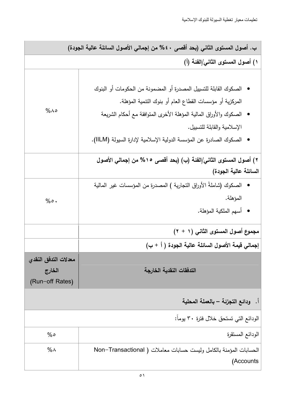| ب. أصول المستوى الثاني (بحد أقصى ٤٠% من إجمالي الأصول السائلة عالية الجودة) |                                                                                |
|-----------------------------------------------------------------------------|--------------------------------------------------------------------------------|
|                                                                             | ١) أصول المستوى الثاني/الفئة (أ)                                               |
|                                                                             |                                                                                |
|                                                                             | ●   الصكوك القابلة للتسييل المصدرة أو المضمونة من الحكومات أو البنوك           |
|                                                                             | المركزية أو مؤسسات القطاع العام أو بنوك النتمية المؤهلة.                       |
| $%$ $\wedge$ $\circ$                                                        | الصكوك والأوراق المالية المؤهلة الأخرى المنوافقة مع أحكام الشريعة              |
|                                                                             | الإسلامية والقابلة للتسييل.                                                    |
|                                                                             | الصكوك الصادرة عن المؤسسة الدولية الإسلامية لإدارة السيولة (IILM).             |
|                                                                             | ٢) أصول المستوى الثاني/الفئة (ب) (بحد أقصى ١٥% من إجمالي الأصول                |
|                                                                             | السائلة عالية الجودة)                                                          |
|                                                                             | ●   الصكوك (شاملةُ الأوراق التجارية ) المصدرة من المؤسسات غير المالية          |
| $% \circ$ .                                                                 | المؤهلة.                                                                       |
|                                                                             | • أسهم الملكية المؤهلة.                                                        |
|                                                                             | مجموع أصول المستوى الثاني (١ + ٢)                                              |
|                                                                             | إجمالي قيمة الأصول السائلة عالية الجودة ( أ + ب)                               |
| معدلات التدفق النقدى                                                        |                                                                                |
| الخارج                                                                      | التدفقات النقدية الخارجة                                                       |
| (Run-off Rates)                                                             |                                                                                |
|                                                                             | اً.   ودائع التجزئة – بالعملة المحلية                                          |
|                                                                             | الودائع التي تستحق خلال فترة ٣٠ يوماً:                                         |
| %                                                                           | الودائع المستقرة                                                               |
| $\%$ $\wedge$                                                               | الحسابات المؤمنة بالكامل وليست حسابات معاملات ( Non–Transactional<br>(Accounts |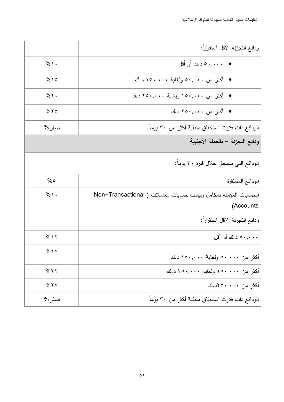|               | ودائع التجزئة الأقل استقراراً:                                    |
|---------------|-------------------------------------------------------------------|
| $%$ \ $\cdot$ | •      •••,•• د .ك أو أقل                                         |
| $%$ 10        | ● أكثر من ٥٠,٠٠٠ ولغاية ١٥٠,٠٠٠د.ك                                |
| $%$ ٢.        | • أكثر من ١٥٠,٠٠٠ ولغاية ٢٥٠,٠٠٠ د.ك                              |
| $%$ ٢٥        | • أكثر من ٢٥٠,٠٠٠ د.ك                                             |
| صفر %         | الودائع ذات فترات استحقاق متبقية أكثر من ٣٠ يوماً                 |
|               | ودائع التجزئة – بالعملة الأجنبية                                  |
|               | الودائع التي تستحق خلال فترة ٣٠ يوماً:                            |
| %             | الودائع المستقرة                                                  |
| $%$ \ $\cdot$ | الحسابات المؤمنة بالكامل وليست حسابات معاملات ( Non–Transactional |
|               | (Accounts                                                         |
|               | ودائع التجزئة الأقل استقراراً:                                    |
| $%$ 1 $\tau$  | ۰۰,۰۰۰ د.ك أو أقل                                                 |
| $%$ 1 $\vee$  | أكثر من ٥٠,٠٠٠ ولغاية ١٥٠,٠٠٠ د.ك                                 |
| $%$ ٢٢        | أكثر من ١٥٠,٠٠٠ ولغاية ٢٥٠,٠٠٠ د.ك                                |
| $%$ ٢٧        | أكثر من ۰۰۰,۰۰۰ لاد.ك                                             |
| صفر %         | الودائع ذات فترات استحقاق متبقية أكثر من ٣٠ يوماً                 |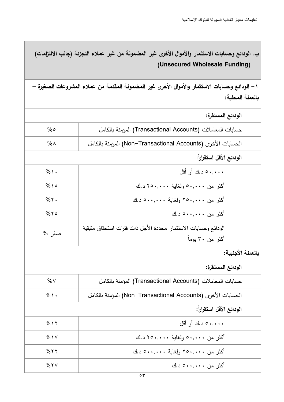ب. الودائـع وحسابات الاستثمار والأموال الأخرى غير المضمونـة من غير عملاء التجزئـة (جانب الالتزامات) ( Unsecured Wholesale Funding)

1 – الودائـع وحسابات الاستثمار والأموال الأخرى غير المضمونـة المقدمـة من عملاء المشروعات الصغيرة – بالعملة المحلية:

|               | الودائع المستقرة:                                              |
|---------------|----------------------------------------------------------------|
| %             | حسابات المعاملات (Transactional Accounts) المؤمنة بالكامل      |
| $\%$ $\wedge$ | الحسابات الأخرى (Non-Transactional Accounts) المؤمنة بالكامل   |
|               | الودائع الأقل استقراراً:                                       |
| $%$ \ $\cdot$ | ۰۰,۰۰۰ د.ك أو أقل                                              |
| $%$ 10        | أكثر من ٥٠,٠٠٠ ولغاية ٢٥٠,٠٠٠ د.ك                              |
| $%$ ٢.        | أكثر من ٢٥٠,٠٠٠ ولغاية ٥٠٠,٠٠٠ د.ك                             |
| $%$ ٢٥        | أكثر من ٥٠٠,٠٠٠ د.ك                                            |
| صفر %         | الودائع وحسابات الاستثمار محددة الأجل ذات فترات استحقاق متبقية |
|               | أكثر من ٣٠ يوماً                                               |
|               | بالعملة الأجنبية:                                              |
|               | الودائع المستقرة:                                              |
| $\%$ $\vee$   | حسابات المعاملات (Transactional Accounts) المؤمنة بالكامل      |
| $\%$ ١٠       | الحسابات الأخرى (Non-Transactional Accounts) المؤمنة بالكامل   |
|               | الودائع الأقل استقراراً:                                       |
| $%$ \ \ \     | ۰۰۰.۰۰ د.ك أو أقل                                              |
| $%$ \ $\vee$  | أكثر من ٥٠,٠٠٠ ولغاية ٢٥٠,٠٠٠ د.ك                              |
| $%$ ٢٢        | أكثر من ٢٥٠,٠٠٠ ولغاية ٥٠٠,٠٠٠ د.ك                             |
| $%$ ٢٧        | أكثر من ۰۰,۰۰۰× د.ك                                            |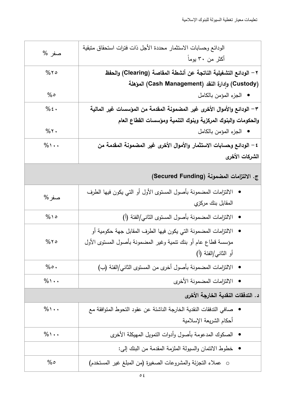| صفر %                              | الودائع وحسابات الاستثمار محددة الأجل ذات فترات استحقاق متبقية<br>أكثر من ٣٠ بوماً                                                                      |
|------------------------------------|---------------------------------------------------------------------------------------------------------------------------------------------------------|
| $%$ ٢٥                             | ٢ – الودائع التشغيلية الناتجة عن أنشطة المقاصة (Clearing) والحفظ                                                                                        |
| %                                  | (Custody) وإدارة النقد (Cash Management) المؤهلة<br>• الجزء المؤمن بالكامل                                                                              |
| $%$ { $\cdot$                      | ٣ – الودائع والأموال الأخرى غير المضمونـة المـقدمـة من المـؤسسـات غير المـاليـة                                                                         |
| $%$ ٢.                             | والحكومات والبنوك المركزية وبنوك التنمية ومؤسسات القطاع العام<br>• الجزء المؤمن بالكامل                                                                 |
| $%$ \ $\cdot$                      | ٤ – الودائع وحسابات الاستثمار والأموال الأخرى غير المضمونة المقدمة من<br>الشركات الأخرى                                                                 |
|                                    | ج. الالتزامات المضمونة (Secured Funding)                                                                                                                |
| صفر %                              | الالنزامات المضمونة بأصول المسنوى الأول أو النىي يكون فيها الطرف<br>المقابل بنك مركزي                                                                   |
| $%$ 10                             | الالتزامات المضمونة بأصول المستوى الثاني/الفئة (أ)                                                                                                      |
| $%$ ٢٥                             | الالتزامات المضمونة التي يكون فيها الطرف المقابل جهة حكومية أو<br>مؤسسة قطاع عام أو بنك نتمية وغير المضمونة بأصول المستوى الأول<br>أو الثانـي/الفئة (أ) |
| $% \circ$ .                        | الالتزامات المضمونة بأصول أخرى من المستوى الثاني/الفئة (ب)                                                                                              |
| $%$ \ $\cdot$                      | الالتزامات المضمونة الأخرى<br>$\bullet$                                                                                                                 |
| د. التدفقات النقدية الخارجة الأخرى |                                                                                                                                                         |
| $%$ \ $\cdot$                      | صافي الندفقات النقدية الخارجة الناشئة عن عقود النحوط المتوافقة مع<br>$\bullet$<br>أحكام الشريعة الإسلامية                                               |
| $\%$ \ $\cdot$                     | الصكوك المدعومة بأصول وأدوات النمويل المهيكلة الأخرى                                                                                                    |
|                                    | •   خطوط الائتمان والسيولة الملزمة المقدمة من البنك إلى:                                                                                                |
| %                                  | o عملاء النجزئة والمشروعات الصغيرة (من المبلغ غير المستخدم)                                                                                             |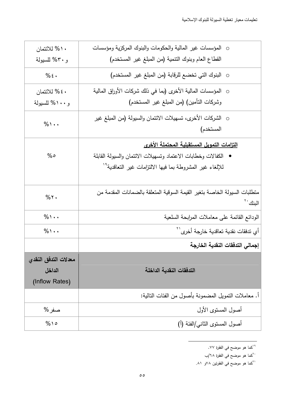| ١٠% للائتمان                                     | o   المؤسسات غير  المالية والحكومات والبنوك المركزية ومؤسسات                                                                                                                         |
|--------------------------------------------------|--------------------------------------------------------------------------------------------------------------------------------------------------------------------------------------|
| و ٣٠% للسيولة                                    | القطاع العام وبنوك التنمية (من المبلغ غير المستخدم)                                                                                                                                  |
| $%$ :                                            | ○  البنوك التي تخضع للرقابة (من المبلغ غير  المستخدم)                                                                                                                                |
| ٤٠ % للائتمان                                    | ○   المؤسسات المالية الأخرى (بما في ذلك شركات الأوراق المالية                                                                                                                        |
| و ۱۰۰% للسيولة                                   | وشركات التأمين) (من المبلغ غير المستخدم)                                                                                                                                             |
| $%$ \ $\cdot$                                    | ○ الشركات الأخرى، تسهيلات الائتمان والسبولة (من المبلغ غير<br>المستخدم)                                                                                                              |
| %                                                | التزامات التمويل المستقبلية المحتملة الأخرى<br>الكفالات وخطابات الاعتماد وتسهيلات الائتمان والسبولة القابلة<br>للإلغاء غير المشروطة بما فيها الالتزامات غير التعاقدية <sup>٦</sup> ′ |
| $%$ ٢.                                           | منطلبات السيولة الخاصة بتغير القيمة السوقية المتعلقة بالضمانات المقدمة من<br>البنك ب                                                                                                 |
| $\%$ \ $\cdot$                                   | الودائع القائمة على معاملات المرابحة السلعية                                                                                                                                         |
| $%$ \ $\cdot$                                    | أي تدفقات نقدية تعاقدية خارجة أخرى <sup>\'</sup>                                                                                                                                     |
|                                                  | إجمالي التدفقات النقدية الخارجة                                                                                                                                                      |
| معدلات التدفق النقدى<br>الداخل<br>(Inflow Rates) | التدفقات النقدية الداخلة                                                                                                                                                             |
|                                                  | أ. معاملات النمويل المضمونة بأصول من الفئات النالية:                                                                                                                                 |
| صفر %                                            | أصول المستوى الأول                                                                                                                                                                   |
| $%$ 10                                           | أصول المستوى الثاني/الفئة (أ)                                                                                                                                                        |

<sup>&</sup>lt;sup>19</sup>كما هو موضح في الفقرة ٧٧.

<sup>&</sup>lt;sup>٢١</sup>كما هو موضح في الفقرنين ٧٨و ٨١.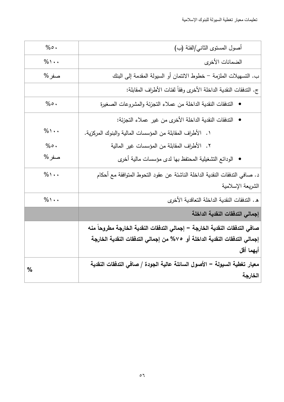| $% \circ$ .         | أصول المستوى الثاني/الفئة (ب)                                               |
|---------------------|-----------------------------------------------------------------------------|
| $%$ \ $\cdot$       | الضمانات الأخرى                                                             |
| صفر %               | ب. التسهيلات الملزمة – خطوط الائتمان أو السيولة المقدمة إلى البنك           |
|                     | ج. الندفقات النقدية الداخلة الأخرى وفقاً لفئات الأطراف المقابلة:            |
| $% \circ$ .         | التدفقات النقدية الداخلة من عملاء التجزئة والمشروعات الصغيرة<br>$\bullet$   |
|                     | التدفقات النقدية الداخلة الأخرى من غير عملاء التجزئة:                       |
| $\%$ \              | ١. الأطراف المقابلة من المؤسسات المالية والبنوك المركزية.                   |
| $%$ $\circ$ $\cdot$ | ٢.   الأطراف المقابلة من المؤسسات غير المالية                               |
| صفر %               | الودائع التشغيلية المحتفظ بها لدى مؤسسات مالية أخرى                         |
| $%$ \ $\cdot$       | د. صافي التدفقات النقدية الداخلة الناشئة عن عقود التحوط المتوافقة مع أحكام  |
|                     | الشريعة الإسلامية                                                           |
| $\%$ \ $\cdot$      | ه . الندفقات النقدية الداخلة النعاقدية الأخرى                               |
|                     | إجمالي التدفقات النقدية الداخلة                                             |
|                     | صافي التدفقات النقدية الخارجة = إجمالي التدفقات النقدية الخارجة مطروحاً منه |
|                     | إجمالى التدفقات النقدية الداخلة أو  ٧% من إجمالي التدفقات النقدية الخارجة   |
|                     | أيهما أقل                                                                   |
| $\frac{0}{0}$       | معيار تغطية السيولة = الأصول السائلة عالية الجودة / صافي التدفقات النقدية   |
|                     | الخارجة                                                                     |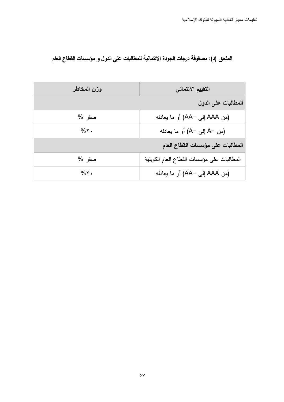## الملحق (د): مصفوفة درجات الجودة الائتمانية للمطالبات على الدول و مؤسسات القطاع العام

| وزن المخاطر    | التقييم الائتماني                          |
|----------------|--------------------------------------------|
|                | المطالبات على الدول                        |
| صفر %          | (من AAA إلى -AA) أو ما يعادله              |
| $%$ ٢.         | (من +A إلى −A) أو ما يعادله                |
|                | المطالبات على مؤسسات الفطاع العام          |
| صفر %          | المطالبات على مؤسسات القطاع العام الكوينية |
| $%$ $\gamma$ . | (من AAA إلى -AA) أو ما يعادله              |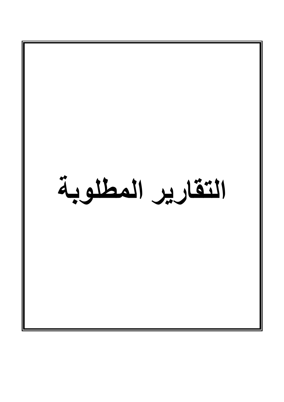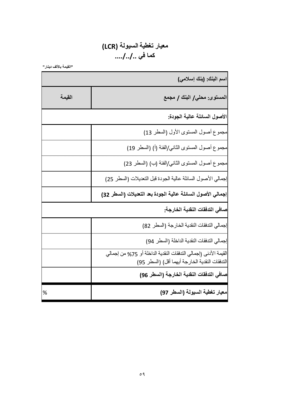## معيار تغطية السيولة (LCR) كما في ..../../..

"القيمة بالألف دينار"

|        | اسم البنك: (بنك إسلامي)                                                                                           |
|--------|-------------------------------------------------------------------------------------------------------------------|
| القيمة | المستوى: محلي/ البنك / مجمع                                                                                       |
|        | الأصول السائلة عالية الجودة:                                                                                      |
|        | مجموع أصول المستوى الأول (السطر 13)                                                                               |
|        | مجموع أصول المستوى الثاني/الفئة (أ) (السطر 19)                                                                    |
|        | مجموع أصول المستوى الثاني/الفئة (ب) (السطر 23)                                                                    |
|        | إجمالي الأصول السائلة عالية الجودة قبل التعديلات (السطر 25)                                                       |
|        | إجمالي الأصول السائلة عالية الجودة بعد التعيلات (السطر 32)                                                        |
|        | صافي التدفقات النقدية الخارجة.                                                                                    |
|        | إجمالي التدفقات النقدية الخارجة (السطر 82)                                                                        |
|        | إجمالي التدفقات النقدية الداخلة (السطر 94)                                                                        |
|        | القيمة الأدنى (إجمالي التدفقات النقدية الداخلة أو 75% من إجمالي<br>التدفقات النقدية الخارجة أيهما أقل) (السطر 95) |
|        | صافي التدفقات النقدية الخارجة (السطر 96)                                                                          |
| %      | معيار تغطية السيولة (السطر 97)                                                                                    |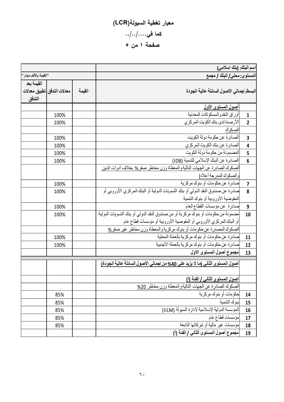# معيار تغطية السيولة(LCR) كما في $\ldots$ .../... صفحة ۱ من ٥

|                         |                             |        | اسم البنك: (بنك إسلامي)                                                          |                         |  |  |  |
|-------------------------|-----------------------------|--------|----------------------------------------------------------------------------------|-------------------------|--|--|--|
| " القيمة بالألف دينار " |                             |        | المستوى: محلي/ البنك / مجمع                                                      |                         |  |  |  |
| القيمة بعد<br>التدفق    | معدلات التدفق اتطبيق معدلات | القيمة | البسط: إجمالي الأصول السائلة عالية الجودة                                        |                         |  |  |  |
|                         |                             |        | <u>أصول المستوى الأول</u>                                                        |                         |  |  |  |
|                         | 100%                        |        | أور اق النقدو المسكو كات المعدنية                                                | $\mathbf{1}$            |  |  |  |
|                         | 100%                        |        | الأرصدة لدى بنك الكويت المركزى                                                   | $\overline{2}$          |  |  |  |
|                         |                             |        | الصكوك                                                                           |                         |  |  |  |
|                         | 100%                        |        | الصادرة عن حكومة دولة الكويت                                                     | 3                       |  |  |  |
|                         | 100%                        |        | الصادرة عن بنك الكويت المركزي                                                    | 4                       |  |  |  |
|                         | 100%                        |        | المضمونة من حكومة دولة الكويت                                                    | 5                       |  |  |  |
|                         | 100%                        |        | الصادرة عن البنك الإسلامي للتنمية (IDB)                                          | $6\phantom{1}6$         |  |  |  |
|                         |                             |        | الصكوك الصادرة عن الجهات التالية والمعطاة وزن مخاطر صفر % بخلاف أدوات الدين      |                         |  |  |  |
|                         |                             |        | والصكوك المدرجة أعلاه)                                                           |                         |  |  |  |
|                         | 100%                        |        | صادرة عن حكومات أو بنوك مركزية                                                   | $\overline{\mathbf{z}}$ |  |  |  |
|                         | 100%                        |        | صادرة عن صندوق النقد الدولي أو بنك التسويات الدولية أو البنك المركزي الأوروبي أو | 8                       |  |  |  |
|                         |                             |        | المفوضية الأوروبية أو بنوك التنمية                                               |                         |  |  |  |
|                         | 100%                        |        | صادرة عن مؤسسات القطاع العام                                                     | 9                       |  |  |  |
|                         | 100%                        |        | مضمونة من حكومات أو بنوك مركزية أو من صندوق النقد الدولي أو بنك التسويات الدولية | 10                      |  |  |  |
|                         |                             |        | أو البنك المركزي الأوروبي أو المفوضية الأوروبية أو مؤسسات قطاع عام               |                         |  |  |  |
|                         |                             |        | الصكوك المصدرة عن حكومات أو بنوك مركزيةوالمعطاة وزن مخاطر غير صفر 8              |                         |  |  |  |
|                         | 100%                        |        | صادر ة عن حكومات أو بنوك مركز ية بالعملة المحلية                                 | 11                      |  |  |  |
|                         | 100%                        |        | صادرة عن حكومات أو بنوك مركزية بالعملة الأجنبية                                  | 12                      |  |  |  |
|                         |                             |        | مجموع أصول المستوى الأول                                                         | 13                      |  |  |  |
|                         |                             |        | أصول المستوى الثاني إما لا يزيد على 40% من إجمالي الأصول السائلة عالية الجودة)   |                         |  |  |  |
|                         |                             |        | أصول المستوى الثاني / الفئة (أ)                                                  |                         |  |  |  |
|                         |                             |        | الصكوك الصادرة عن الجهات التاليةوالمعطاة وزن مخاطر 20%                           |                         |  |  |  |
|                         | 85%                         |        | حكومات أو بنوك مركزية                                                            | 14                      |  |  |  |
|                         | 85%                         |        | بنوك التنمية                                                                     | 15                      |  |  |  |
|                         | 85%                         |        | المؤسسة الدولية الإسلامية لإدارة السيولة (IILM)                                  | 16                      |  |  |  |
|                         | 85%                         |        | مؤسسات قطاع عام                                                                  | 17                      |  |  |  |
|                         | 85%                         |        | مؤسسات غير مالية أو شركاتها التابعة                                              | 18                      |  |  |  |
|                         |                             |        | مجموع أصول المستوى الثاني / الفئة (أ)                                            | 19                      |  |  |  |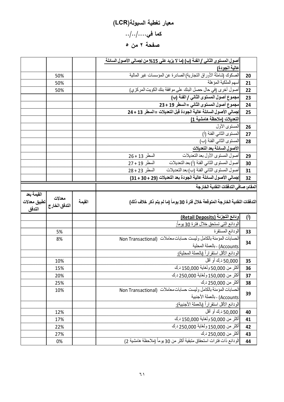# معيار تغطية السيولة(LCR) كما في $\ldots$ .../... صفحة ۲ من ٥

|                            |               |        | <u>أصول المستوى الثاني / الفئة (ب) (ما لا يزيد على 15% من إجمالي الأصول السائلة </u>       |                |
|----------------------------|---------------|--------|--------------------------------------------------------------------------------------------|----------------|
|                            |               |        | عالية الجودة)                                                                              |                |
|                            | 50%           |        | الصكوك (شاملةُ الأوراق التجارية) الصادرة عن المؤسسات غير المالية                           | 20             |
|                            | 50%           |        | أسهم الملكية المؤهلة                                                                       | 21             |
|                            | 50%           |        | أصول أخرى (في حال حصل البنك على موافقة بنك الكويت المركزي)                                 | 22             |
|                            |               |        | مجموع أصول المستوى الثاني / الفئة (ب)                                                      | 23             |
|                            |               |        | مجموع أصول المستوى الثاني =السطر 19 + 23                                                   | 24             |
|                            |               |        | إجمالي الأصول السائلة عالية الجودة قبل التعديلات =السطر 13 + 24                            | 25             |
|                            |               |        | التعديلات (ملاحظة هامشية 1]                                                                |                |
|                            |               |        | المستوى الأول                                                                              | 26             |
|                            |               |        | المستوى الثاني الفئة (أ)                                                                   | 27             |
|                            |               |        | المستوى الثاني الفئة (ب)                                                                   | 28             |
|                            |               |        | الأصول السائلة بعد التعديلات                                                               |                |
|                            |               |        | أصول المستوى الأول بعد التعديلات<br>السطر 13 + 26                                          | 29             |
|                            |               |        | أصول المستوى الثاني الفئة (أ) بعد التعديلات<br>السطر 19 + 27                               | 30             |
|                            |               |        | أصول المستوى الثاني الفئة (ب) بعد التعديلات<br>السطر 23 + 28                               | 31             |
|                            |               |        | إجمالي الأصول السائلة عالية الجودة بعد التعديلات (29 + 30 + 31)                            | 32             |
|                            |               |        | المقام: صافى التدفقات النقدية الخارجة                                                      |                |
| القيمة بعد<br>تطبيق معدلات | معدلات        |        |                                                                                            |                |
| التدفق                     | التدفق الخارج | القيمة | التدفقات النقدية الخارجة المتوقعة خلال فترة 30 يوماً (ما لم يتم ذكر خلاف ذلك)              |                |
|                            |               |        | ودائع التجزئة (Retail Deposits)                                                            | $\binom{1}{2}$ |
|                            |               |        | الودائع التي تستحق خلال فترة 30 يوماً <u>:</u>                                             |                |
|                            | 5%            |        | الودائع المستقرة                                                                           | 33             |
|                            | 8%            |        | الحسابات المؤمنة بالكامل وليست حسابات معاملات (Non Transactional                           |                |
|                            |               |        | Accounts) - بالعملة المحلية                                                                | 34             |
|                            |               |        | الودائع الأقل استقراراً (بالعملة المحلية <u>).</u>                                         |                |
|                            | 10%           |        | 50,000 د ك أو أقل                                                                          | 35             |
|                            | 15%           |        | أكثر من 50,000 ولغاية 150,000 د.ك                                                          | 36             |
|                            | 20%           |        | أكثر من 150,000 ولغاية 250,000 د.ك                                                         | 37             |
|                            | 25%           |        | أكثر من 250,000 د.ك                                                                        | 38             |
|                            | 10%           |        | الحسابات المؤمنة بالكامل وليست حسابات معاملات (Non Transactional                           |                |
|                            |               |        | Accounts) - بالعملة الأجنبية                                                               | 39             |
|                            |               |        | الودائع الأقل استقراراً (بالعملة الأجنبية):                                                |                |
|                            | 12%           |        | 50,000 د ك أو أقل                                                                          | 40             |
|                            | 17%           |        | أكثر من 50,000 ولغاية 150,000 د.ك                                                          | 41             |
|                            | 22%           |        | أكثر من 150,000 ولغاية 250,000 د.ك                                                         | 42             |
|                            | 27%           |        | أكثر من 250,000 د.ك<br>الودائع ذات فترات استحقاق متبقية أكثر من 30 يوماً (ملاحظة هامشية 2) | 43             |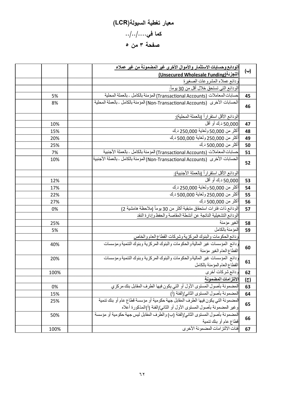# معيار تغطية السيولة(LCR) كما في $\ldots$ .../... صفحة ۳ من ٥

| (←) | الودائع وحسابات الاستثمار والأموال الأخرى غير المضمونة من غير عملاء                                        |      |
|-----|------------------------------------------------------------------------------------------------------------|------|
|     | التجزئة (Unsecured Wholesale Funding)                                                                      |      |
|     | ودائع عملاء المشروعات الصغيرة                                                                              |      |
|     | الودائع التي تستحق خلال أقل من 30 يوماً:                                                                   |      |
| 45  | حسابات المعاملات (Transactional Accounts) المؤمنة بالكامل - بالعملة المحلية                                | 5%   |
| 46  | الحسابات الأخرى (Non-Transactional Accounts) المؤمنة بالكامل - بالعملة المحلية                             | 8%   |
|     | الودائع الأقل استقراراً (بالعملة المحلية <u>).</u>                                                         |      |
| 47  | 50,000 د ك أو أقل                                                                                          | 10%  |
| 48  | أكثر من 50,000 ولغاية 250,000 د.ك                                                                          | 15%  |
| 49  | أكثر من 250,000 ولغاية 500,000 د ك                                                                         | 20%  |
| 50  | أكثر من 500,000 د.ك                                                                                        | 25%  |
| 51  | حسابات المعاملات (Transactional Accounts) المؤمنة بالكامل ـ بالعملة الأجنبية                               | 7%   |
| 52  | الحسابات الأخرى   (Non-Transactional Accounts) المؤمنة بالكامل ـ بالعملة الأجنبية                          | 10%  |
|     | الودائع الأقل استقراراً (بالعملة الأجنبية <u>).</u>                                                        |      |
| 53  | 50,000 د ك أو أقل                                                                                          | 12%  |
| 54  | أكثر من 50,000 ولغاية 250,000 د.ك                                                                          | 17%  |
| 55  | أكثر من 250,000 ولغاية 500,000 د.ك                                                                         | 22%  |
| 56  | أكثر من 500,000 د.ك                                                                                        | 27%  |
| 57  | الودائع ذات فترات استحقاق متبقية أكثر من 30 يوماً (ملاحظة هامشية 2)                                        | 0%   |
|     | الودائع التشغيلية الناتجة عن أنشطة المقاصة والحفظ وإدارة النقد                                             |      |
| 58  | الغير مؤمنة                                                                                                | 25%  |
| 59  | المؤمنة بالكامل                                                                                            | 5%   |
|     | ودائع الحكومات والبنوك المركزية وشركات القطاع العام والخاص                                                 |      |
| 60  | ودائع المؤسسات غير الماليةوالحكومات والبنوك المركزية وبنوك التنمية ومؤسسات<br>القطاع العام الغير مؤمنة     | 40%  |
| 61  | ودائع المؤسسات غير الماليةوالحكومات والبنوك المركزية وبنوك التنمية ومؤسسات<br>القطاع العام المؤمنة بالكامل | 20%  |
| 62  | ودائع شركات أخرى                                                                                           | 100% |
| (೯) | الالتزامات المضمونة                                                                                        |      |
| 63  | المضمونة بأصول المستوى الأول أو التي يكون فيها الطرف المقابل بنك مركزي                                     | 0%   |
| 64  | المضمونة بأصول المستوى الثاني/الفئة (أ)                                                                    | 15%  |
|     | المضمونة التي يكون فيها الطرف المقابل جهة حكومية أو مؤسسة قطاع عام أو بنك تنمية                            | 25%  |
| 65  | وغير المضمونة بأصول المستوى الأول أو الثاني/الفئة (أ)المذكورة أعلاه                                        |      |
|     | المضمونة بأصول المستوى الثاني/الفئة (ب) والطرف المقابل ليس جهة حكومية أو مؤسسة                             | 50%  |
| 66  | قطاع عام أو بنك تنمية                                                                                      |      |
| 67  | فئات الالتز امات المضمو نة الأخر ي                                                                         | 100% |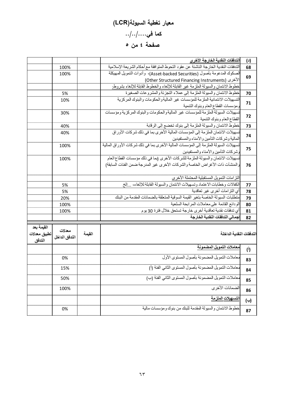# معيار تغطية السيولة(LCR) كما في $\ldots$ .../... صفحة ٤ من ٥

|              |                         |        | التدفقات النقدية الخارجة الأخرى                                                      | (4)          |
|--------------|-------------------------|--------|--------------------------------------------------------------------------------------|--------------|
|              | 100%                    |        | الندفقات النقدية الخارجة الناشئة عن عقود النحوط المنوافقة مع أحكام الشريعة الإسلامية | 68           |
|              | 100%                    |        | الصكوك المدعومة بأصول (Asset-backed Securities)، وأدوات التمويل المهيكلة             | 69           |
|              |                         |        | (Other Structured Financing Instruments) الأخرى                                      |              |
|              |                         |        | خطوط الانتمان والسيولة الملزمة غير القابلة للإلغاء والخطوط القابلة للإلغاء بشروط.    |              |
|              | 5%                      |        | خطوط الائتمان والسبولة الملزمة إلى عملاء التجزئة والمشروعات الصغيرة                  | 70           |
|              | 10%                     |        | التسهيلات الائتمانية الملزمة للمؤسسات غير الماليةوالحكومات والبنوك المركزية          | 71           |
|              |                         |        | ومؤسسات القطاع العام وبنوك التنمية                                                   |              |
|              | 30%                     |        | تسهيلات السيولة الملزمة للمؤسسات غير الماليةوالحكومات والبنوك المركزية ومؤسسات       | 72           |
|              |                         |        | القطاع العام وبنوك التنمية                                                           |              |
|              | 40%                     |        | خطوط الائتمان والسيولة الملزمة إلى بنوك تخضع إلى الرقابة                             | 73           |
|              | 40%                     |        | تسهيلات الائتمان الملز مة إلى المؤسسات المالية الأخرى بما في ذلك شر كات الأور اق     | 74           |
|              |                         |        | المالية وشركات التأمين والأمناء والمستفيدين                                          |              |
|              | 100%                    |        | تسهيلات السيولة الملزمة إلى المؤسسات المالية الأخرى بما في ذلك شركات الأوراق المالية | 75           |
|              |                         |        | وشركات التأمين والأمناء والمستفيدين                                                  |              |
|              | 100%                    |        | تسهيلات الائتمان والسيولة الملزمة للشركات الأخرى (بما في ذلك مؤسسات القطاع العام     |              |
|              |                         |        | والمنشأت ذات الأغراض الخاصة والشركات الأخرى غير المدرجة ضمن الفئات السابقة)          | 76           |
|              |                         |        |                                                                                      |              |
|              |                         |        | النز امات التمويل المستقبلية المحتملة الأخرى                                         |              |
|              | 5%                      |        | الكفالات وخطابات الاعتماد وتسهيلات الائتمان والسيولة القابلة للإلغاء، والخ           | 77           |
|              | 5%                      |        | أى التز امات أخر ي غير تعاقدية                                                       | 78           |
|              | 20%                     |        | متطلبات السبولة الخاصة بتغير القيمة السوقية المتعلقة بالضمانات المقدمة من البنك      | 79           |
|              | 100%                    |        | الودائع القائمة علىمعاملات المرابحة السلعية                                          | 80           |
|              | 100%                    |        | أي تدفقات نقدية تعاقدية أخرى خارجة تستحق خلال فترة 30 يوم                            | 81           |
|              |                         |        | إجمالي التدفقات النقدية الخارجة                                                      | 82           |
| القيمة بعد   |                         |        |                                                                                      |              |
| تطبيق معدلات | معدلات<br>التدفق الداخل | القيمة | التدفقات النقدية الداخلة                                                             |              |
| التدفق       |                         |        |                                                                                      |              |
|              |                         |        | معاملات التمويل المضمونة                                                             | $\mathbf{r}$ |
|              | 0%                      |        | معاملات التمويل المضمونة بأصول المستوى الأول                                         | 83           |
|              | 15%                     |        | معاملات النمويل المضمونة بأصول المستوى الثاني الفئة (أ)                              | 84           |
|              | 50%                     |        | معاملات التمويل المضمونة بأصول المستوى الثاني الفئة (ب)                              |              |
|              |                         |        |                                                                                      | 85           |
|              | 100%                    |        | الضمانات الأخر ي                                                                     | 86           |
|              |                         |        | ا <u>لتسهيلات ال</u> ملزمة                                                           | (←)          |
|              | 0%                      |        | خطوط الائتمان والسيولة المقدمة للبنك من بنوك ومؤسسات مالية                           | 87           |
|              |                         |        |                                                                                      |              |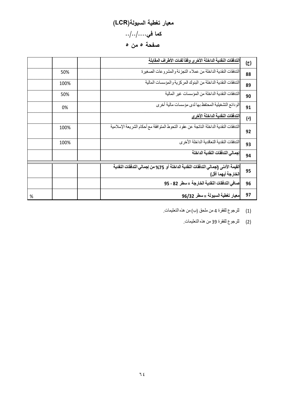# معيار تغطية السيولة(LCR) كما في $\ldots$ .../... صفحة ٥ من ٥

|   |      | التدفقات النقدية الداخلة الأخرى وفقأ لفنات الأطراف المقابلة                                             | $(\overline{c})$ |
|---|------|---------------------------------------------------------------------------------------------------------|------------------|
|   | 50%  | التدفقات النقدية الداخلة من عملاء التجزئة والمشروعات الصغيرة                                            | 88               |
|   | 100% | التدفقات النقدية الداخلة من البنوك المركزية والمؤسسات المالية                                           | 89               |
|   | 50%  | التدفقات النقدية الداخلة من المؤسسات غير المالية                                                        | 90               |
|   | 0%   | الودائع التشغيلية المحتفظ بها لدى مؤسسات مالية أخرى                                                     | 91               |
|   |      | التدفقات النقدية الداخلة الأخرى                                                                         | (4)              |
|   | 100% | الندفقات النقدية الداخلة الناتجة عن عقود التحوط المتوافقة مع أحكام الشريعة الإسلامية                    | 92               |
|   | 100% | الندفقات النقدية التعاقدية الداخلة الأخر ي                                                              | 93               |
|   |      | إجمالى التدفقات النقدية الداخلة                                                                         | 94               |
|   |      | القيمة الأدني (إجمالي التدفقات النقدية الداخلة أو  75% من إجمالي التدفقات النقدية<br>الخارجة أيهما أقل) | 95               |
|   |      | صافي التدفقات النقدية الخارجة =سطر 82 - 95                                                              | 96               |
| % |      | معيار تغطية السيولة = سطر 96/32                                                                         | 97               |

(1) للرجوع للفقرة 4 من ملحق (ب) من ھذه التعليمات.

(2) للرجوع للفقرة 39 من ھذه التعليمات.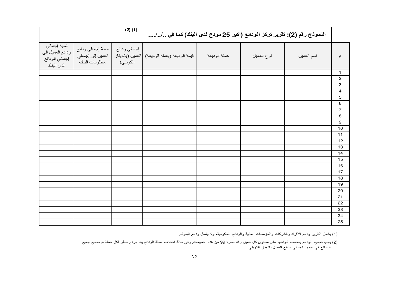| $(2)$ $(1)$<br>النموذج رقم (2): تقرير تركز الودائع (أكبر 25 مودع لدى البنك) كما في // |                                                         |                          |                                                |              |            |            |                           |  |  |
|---------------------------------------------------------------------------------------|---------------------------------------------------------|--------------------------|------------------------------------------------|--------------|------------|------------|---------------------------|--|--|
| نسبة إجمالي<br>ودائع العميل إلى<br>إجمالي الودائع<br>لدى البنك                        | نسبة إجمالي ودائع<br>العميل إلى إجمالي<br>مطلوبات البنك | إجمالي ودائع<br>الكويتي) | قيمة الوديعة (بعملة الوديعة)  العميل (بالدينار | عملة الوديعة | نوع العميل | اسم العميل | م                         |  |  |
|                                                                                       |                                                         |                          |                                                |              |            |            | $\mathbf{1}$              |  |  |
|                                                                                       |                                                         |                          |                                                |              |            |            | $\overline{\mathbf{c}}$   |  |  |
|                                                                                       |                                                         |                          |                                                |              |            |            | $\ensuremath{\mathsf{3}}$ |  |  |
|                                                                                       |                                                         |                          |                                                |              |            |            | $\overline{\mathbf{4}}$   |  |  |
|                                                                                       |                                                         |                          |                                                |              |            |            | $\mathbf 5$               |  |  |
|                                                                                       |                                                         |                          |                                                |              |            |            | 6                         |  |  |
|                                                                                       |                                                         |                          |                                                |              |            |            | $\overline{7}$            |  |  |
|                                                                                       |                                                         |                          |                                                |              |            |            | $\bf8$                    |  |  |
|                                                                                       |                                                         |                          |                                                |              |            |            | 9                         |  |  |
|                                                                                       |                                                         |                          |                                                |              |            |            | 10                        |  |  |
|                                                                                       |                                                         |                          |                                                |              |            |            | 11                        |  |  |
|                                                                                       |                                                         |                          |                                                |              |            |            | 12                        |  |  |
|                                                                                       |                                                         |                          |                                                |              |            |            | 13                        |  |  |
|                                                                                       |                                                         |                          |                                                |              |            |            | 14                        |  |  |
|                                                                                       |                                                         |                          |                                                |              |            |            | 15                        |  |  |
|                                                                                       |                                                         |                          |                                                |              |            |            | 16                        |  |  |
|                                                                                       |                                                         |                          |                                                |              |            |            | 17                        |  |  |
|                                                                                       |                                                         |                          |                                                |              |            |            | 18                        |  |  |
|                                                                                       |                                                         |                          |                                                |              |            |            | 19                        |  |  |
|                                                                                       |                                                         |                          |                                                |              |            |            | 20                        |  |  |
|                                                                                       |                                                         |                          |                                                |              |            |            | 21                        |  |  |
|                                                                                       |                                                         |                          |                                                |              |            |            | 22                        |  |  |
|                                                                                       |                                                         |                          |                                                |              |            |            | 23                        |  |  |
|                                                                                       |                                                         |                          |                                                |              |            |            | 24                        |  |  |
|                                                                                       |                                                         |                          |                                                |              |            |            | 25                        |  |  |

(1) يشمل التقرير ودائع ا فراد والشركات والمؤسسات المالية والودائع الحكومية، وB يشمل ودائع البنوك.

(2) يجب تجميع الودائع بمختلف أنواعها على مستوى كل عميل وفقاً للفقرة 99 من هذه التعليمات. وفي حالة اختلاف عملة الودائع يتم إدراج سطر لكل عملة ثم تجميع جميع<br>الودائع في عامود إجمالي ودائع العميل بالدينار الكويتي.